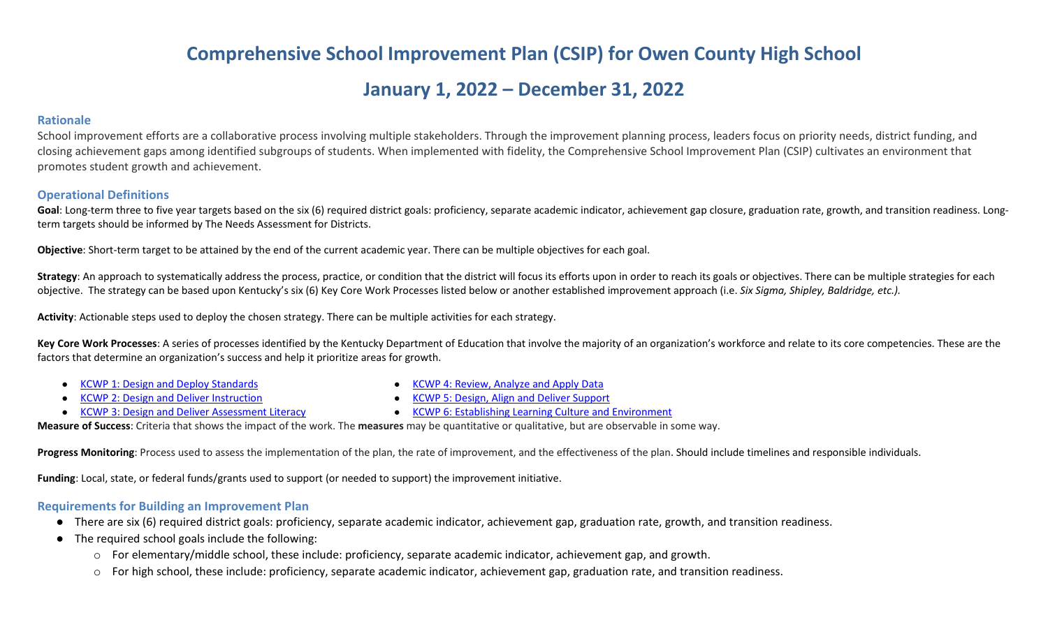# **Comprehensive School Improvement Plan (CSIP) for Owen County High School**

## **January 1, 2022 – December 31, 2022**

#### **Rationale**

School improvement efforts are a collaborative process involving multiple stakeholders. Through the improvement planning process, leaders focus on priority needs, district funding, and closing achievement gaps among identified subgroups of students. When implemented with fidelity, the Comprehensive School Improvement Plan (CSIP) cultivates an environment that promotes student growth and achievement.

#### **Operational Definitions**

Goal: Long-term three to five year targets based on the six (6) required district goals: proficiency, separate academic indicator, achievement gap closure, graduation rate, growth, and transition readiness. Longterm targets should be informed by The Needs Assessment for Districts.

**Objective**: Short-term target to be attained by the end of the current academic year. There can be multiple objectives for each goal.

Strategy: An approach to systematically address the process, practice, or condition that the district will focus its efforts upon in order to reach its goals or objectives. There can be multiple strategies for each objective. The strategy can be based upon Kentucky's six (6) Key Core Work Processes listed below or another established improvement approach (i.e. *Six Sigma, Shipley, Baldridge, etc.).*

**Activity**: Actionable steps used to deploy the chosen strategy. There can be multiple activities for each strategy.

Key Core Work Processes: A series of processes identified by the Kentucky Department of Education that involve the majority of an organization's workforce and relate to its core competencies. These are the factors that determine an organization's success and help it prioritize areas for growth.

- [KCWP 1: Design and Deploy Standards](https://education.ky.gov/school/csip/Documents/KCWP%201%20Strategic%20Design%20and%20Deploy%20Standards.pdf)
- **[KCWP 2: Design and Deliver Instruction](https://education.ky.gov/school/csip/Documents/KCWP%202%20Strategic%20Design%20and%20Deliver%20Instruction.pdf)**
- [KCWP 3: Design and Deliver Assessment Literacy](https://education.ky.gov/school/csip/Documents/KCWP%203%20Strategic%20Design%20and%20Deliver%20Assessment%20Literacy.pdf)
- [KCWP 4: Review, Analyze and Apply Data](https://education.ky.gov/school/csip/Documents/KCWP%204%20Strategic%20Review%20Analyze%20and%20Apply%20Data.pdf)
- **[KCWP 5: Design, Align and Deliver Support](https://education.ky.gov/school/csip/Documents/KCWP%205%20Strategic%20Design%20Align%20Deliver%20Support%20Processes.pdf)**
- [KCWP 6: Establishing Learning Culture and Environment](https://education.ky.gov/school/csip/Documents/KCWP%206%20Strategic%20Establish%20Learning%20Culture%20and%20Environment.pdf)

**Measure of Success**: Criteria that shows the impact of the work. The **measures** may be quantitative or qualitative, but are observable in some way.

Progress Monitoring: Process used to assess the implementation of the plan, the rate of improvement, and the effectiveness of the plan. Should include timelines and responsible individuals.

**Funding**: Local, state, or federal funds/grants used to support (or needed to support) the improvement initiative.

#### **Requirements for Building an Improvement Plan**

- There are six (6) required district goals: proficiency, separate academic indicator, achievement gap, graduation rate, growth, and transition readiness.
- The required school goals include the following:
	- o For elementary/middle school, these include: proficiency, separate academic indicator, achievement gap, and growth.
	- o For high school, these include: proficiency, separate academic indicator, achievement gap, graduation rate, and transition readiness.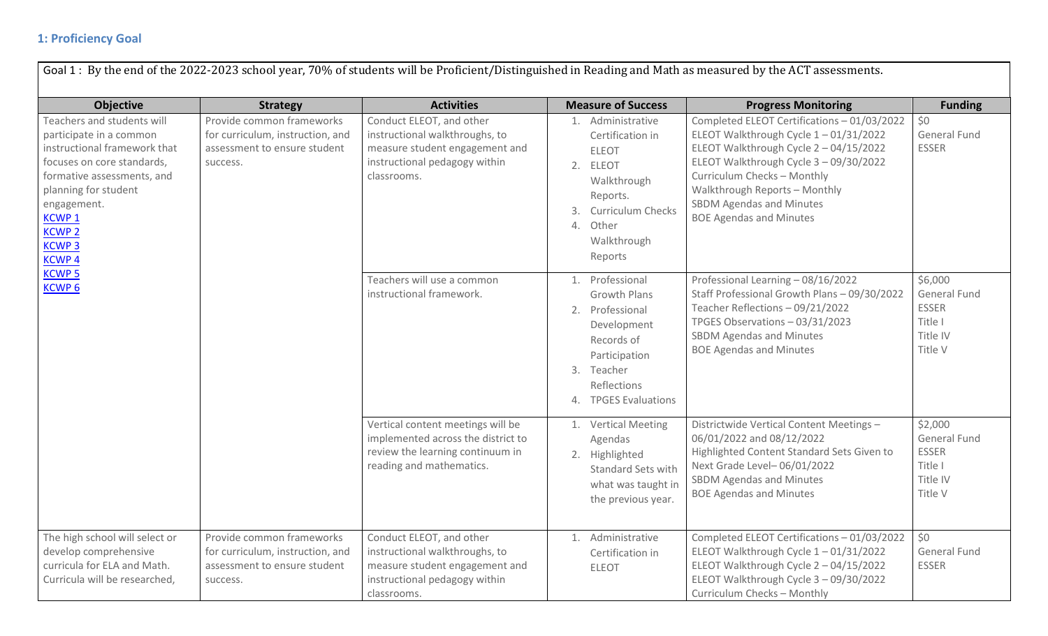### **1: Proficiency Goal**

| <b>Objective</b>                                                                                                                                                                                                                                                                                                                                                   | <b>Strategy</b>                                                                                           | <b>Activities</b>                                                                                                                            | <b>Measure of Success</b>                                                                                                                                               | <b>Progress Monitoring</b>                                                                                                                                                                                                                                                                                   | <b>Funding</b>                                                                   |
|--------------------------------------------------------------------------------------------------------------------------------------------------------------------------------------------------------------------------------------------------------------------------------------------------------------------------------------------------------------------|-----------------------------------------------------------------------------------------------------------|----------------------------------------------------------------------------------------------------------------------------------------------|-------------------------------------------------------------------------------------------------------------------------------------------------------------------------|--------------------------------------------------------------------------------------------------------------------------------------------------------------------------------------------------------------------------------------------------------------------------------------------------------------|----------------------------------------------------------------------------------|
| Provide common frameworks<br>Teachers and students will<br>participate in a common<br>instructional framework that<br>assessment to ensure student<br>focuses on core standards,<br>success.<br>formative assessments, and<br>planning for student<br>engagement.<br><b>KCWP1</b><br><b>KCWP 2</b><br><b>KCWP3</b><br><b>KCWP4</b><br><b>KCWP5</b><br><b>KCWP6</b> | for curriculum, instruction, and                                                                          | Conduct ELEOT, and other<br>instructional walkthroughs, to<br>measure student engagement and<br>instructional pedagogy within<br>classrooms. | 1. Administrative<br>Certification in<br><b>ELEOT</b><br>2. ELEOT<br>Walkthrough<br>Reports.<br><b>Curriculum Checks</b><br>3.<br>Other<br>4.<br>Walkthrough<br>Reports | Completed ELEOT Certifications - 01/03/2022<br>ELEOT Walkthrough Cycle 1-01/31/2022<br>ELEOT Walkthrough Cycle 2 - 04/15/2022<br>ELEOT Walkthrough Cycle 3 - 09/30/2022<br>Curriculum Checks - Monthly<br>Walkthrough Reports - Monthly<br><b>SBDM Agendas and Minutes</b><br><b>BOE Agendas and Minutes</b> | \$0<br>General Fund<br><b>ESSER</b>                                              |
|                                                                                                                                                                                                                                                                                                                                                                    |                                                                                                           | Teachers will use a common<br>instructional framework.                                                                                       | 1. Professional<br><b>Growth Plans</b><br>2. Professional<br>Development<br>Records of<br>Participation<br>3. Teacher<br>Reflections<br>4. TPGES Evaluations            | Professional Learning - 08/16/2022<br>Staff Professional Growth Plans - 09/30/2022<br>Teacher Reflections - 09/21/2022<br>TPGES Observations - 03/31/2023<br><b>SBDM Agendas and Minutes</b><br><b>BOE Agendas and Minutes</b>                                                                               | \$6,000<br><b>General Fund</b><br><b>ESSER</b><br>Title I<br>Title IV<br>Title V |
|                                                                                                                                                                                                                                                                                                                                                                    |                                                                                                           | Vertical content meetings will be<br>implemented across the district to<br>review the learning continuum in<br>reading and mathematics.      | 1. Vertical Meeting<br>Agendas<br>2. Highlighted<br>Standard Sets with<br>what was taught in<br>the previous year.                                                      | Districtwide Vertical Content Meetings -<br>06/01/2022 and 08/12/2022<br>Highlighted Content Standard Sets Given to<br>Next Grade Level-06/01/2022<br><b>SBDM Agendas and Minutes</b><br><b>BOE Agendas and Minutes</b>                                                                                      | \$2,000<br>General Fund<br><b>ESSER</b><br>Title I<br>Title IV<br>Title V        |
| The high school will select or<br>develop comprehensive<br>curricula for ELA and Math.<br>Curricula will be researched,                                                                                                                                                                                                                                            | Provide common frameworks<br>for curriculum, instruction, and<br>assessment to ensure student<br>success. | Conduct ELEOT, and other<br>instructional walkthroughs, to<br>measure student engagement and<br>instructional pedagogy within<br>classrooms. | 1. Administrative<br>Certification in<br><b>ELEOT</b>                                                                                                                   | Completed ELEOT Certifications - 01/03/2022<br>ELEOT Walkthrough Cycle 1-01/31/2022<br>ELEOT Walkthrough Cycle 2 - 04/15/2022<br>ELEOT Walkthrough Cycle 3 - 09/30/2022<br>Curriculum Checks - Monthly                                                                                                       | \$0<br>General Fund<br><b>ESSER</b>                                              |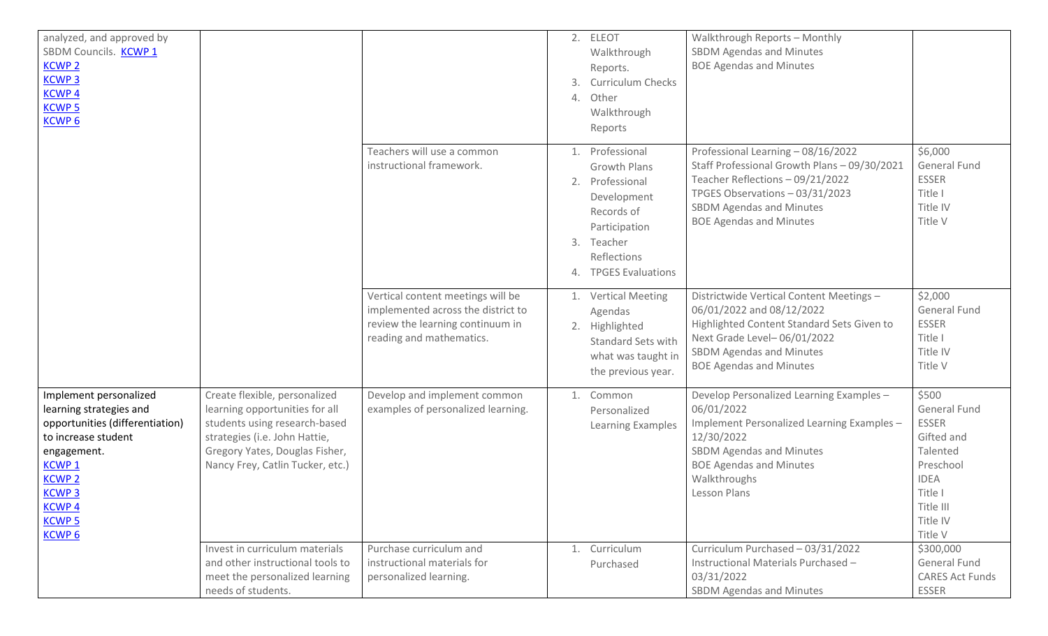| analyzed, and approved by<br>SBDM Councils. KCWP 1<br><b>KCWP2</b><br><b>KCWP3</b><br><b>KCWP4</b><br><b>KCWP 5</b><br><b>KCWP6</b>                                                                                                   |                                                                                                                                                                                                         |                                                                                                                                         | 3.<br>4.       | 2. ELEOT<br>Walkthrough<br>Reports.<br><b>Curriculum Checks</b><br>Other<br>Walkthrough<br>Reports                                           | Walkthrough Reports - Monthly<br><b>SBDM Agendas and Minutes</b><br><b>BOE Agendas and Minutes</b>                                                                                                                             |                                                                                                                                                   |
|---------------------------------------------------------------------------------------------------------------------------------------------------------------------------------------------------------------------------------------|---------------------------------------------------------------------------------------------------------------------------------------------------------------------------------------------------------|-----------------------------------------------------------------------------------------------------------------------------------------|----------------|----------------------------------------------------------------------------------------------------------------------------------------------|--------------------------------------------------------------------------------------------------------------------------------------------------------------------------------------------------------------------------------|---------------------------------------------------------------------------------------------------------------------------------------------------|
|                                                                                                                                                                                                                                       |                                                                                                                                                                                                         | Teachers will use a common<br>instructional framework.                                                                                  | 1.<br>2.<br>3. | Professional<br>Growth Plans<br>Professional<br>Development<br>Records of<br>Participation<br>Teacher<br>Reflections<br>4. TPGES Evaluations | Professional Learning - 08/16/2022<br>Staff Professional Growth Plans - 09/30/2021<br>Teacher Reflections - 09/21/2022<br>TPGES Observations - 03/31/2023<br><b>SBDM Agendas and Minutes</b><br><b>BOE Agendas and Minutes</b> | \$6,000<br><b>General Fund</b><br><b>ESSER</b><br>Title I<br>Title IV<br>Title V                                                                  |
|                                                                                                                                                                                                                                       |                                                                                                                                                                                                         | Vertical content meetings will be<br>implemented across the district to<br>review the learning continuum in<br>reading and mathematics. | 1.             | <b>Vertical Meeting</b><br>Agendas<br>2. Highlighted<br><b>Standard Sets with</b><br>what was taught in<br>the previous year.                | Districtwide Vertical Content Meetings -<br>06/01/2022 and 08/12/2022<br>Highlighted Content Standard Sets Given to<br>Next Grade Level-06/01/2022<br><b>SBDM Agendas and Minutes</b><br><b>BOE Agendas and Minutes</b>        | \$2,000<br><b>General Fund</b><br><b>ESSER</b><br>Title I<br>Title IV<br>Title V                                                                  |
| Implement personalized<br>learning strategies and<br>opportunities (differentiation)<br>to increase student<br>engagement.<br>KCWP <sub>1</sub><br><b>KCWP2</b><br><b>KCWP3</b><br><b>KCWP4</b><br><b>KCWP 5</b><br>KCWP <sub>6</sub> | Create flexible, personalized<br>learning opportunities for all<br>students using research-based<br>strategies (i.e. John Hattie,<br>Gregory Yates, Douglas Fisher,<br>Nancy Frey, Catlin Tucker, etc.) | Develop and implement common<br>examples of personalized learning.                                                                      | 1.             | Common<br>Personalized<br>Learning Examples                                                                                                  | Develop Personalized Learning Examples -<br>06/01/2022<br>Implement Personalized Learning Examples -<br>12/30/2022<br>SBDM Agendas and Minutes<br><b>BOE Agendas and Minutes</b><br>Walkthroughs<br>Lesson Plans               | \$500<br><b>General Fund</b><br><b>ESSER</b><br>Gifted and<br>Talented<br>Preschool<br><b>IDEA</b><br>Title I<br>Title III<br>Title IV<br>Title V |
|                                                                                                                                                                                                                                       | Invest in curriculum materials<br>and other instructional tools to<br>meet the personalized learning<br>needs of students.                                                                              | Purchase curriculum and<br>instructional materials for<br>personalized learning.                                                        | 1.             | Curriculum<br>Purchased                                                                                                                      | Curriculum Purchased - 03/31/2022<br>Instructional Materials Purchased -<br>03/31/2022<br>SBDM Agendas and Minutes                                                                                                             | \$300,000<br><b>General Fund</b><br><b>CARES Act Funds</b><br><b>ESSER</b>                                                                        |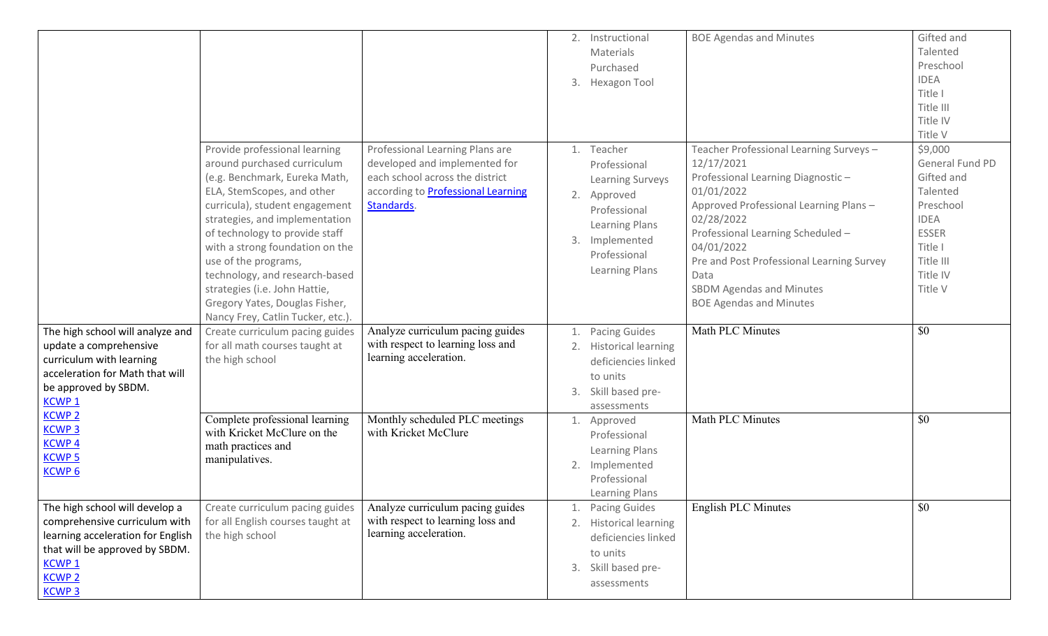|                                   |                                   |                                           |    | 2. Instructional           | <b>BOE Agendas and Minutes</b>            | Gifted and      |
|-----------------------------------|-----------------------------------|-------------------------------------------|----|----------------------------|-------------------------------------------|-----------------|
|                                   |                                   |                                           |    |                            |                                           | Talented        |
|                                   |                                   |                                           |    | Materials                  |                                           | Preschool       |
|                                   |                                   |                                           |    | Purchased                  |                                           |                 |
|                                   |                                   |                                           |    | 3. Hexagon Tool            |                                           | <b>IDEA</b>     |
|                                   |                                   |                                           |    |                            |                                           | Title I         |
|                                   |                                   |                                           |    |                            |                                           | Title III       |
|                                   |                                   |                                           |    |                            |                                           | Title IV        |
|                                   |                                   |                                           |    |                            |                                           | Title V         |
|                                   | Provide professional learning     | Professional Learning Plans are           | 1. | Teacher                    | Teacher Professional Learning Surveys-    | \$9,000         |
|                                   | around purchased curriculum       | developed and implemented for             |    | Professional               | 12/17/2021                                | General Fund PD |
|                                   | (e.g. Benchmark, Eureka Math,     | each school across the district           |    | Learning Surveys           | Professional Learning Diagnostic-         | Gifted and      |
|                                   | ELA, StemScopes, and other        | according to <b>Professional Learning</b> |    | 2. Approved                | 01/01/2022                                | Talented        |
|                                   | curricula), student engagement    | Standards.                                |    | Professional               | Approved Professional Learning Plans-     | Preschool       |
|                                   | strategies, and implementation    |                                           |    |                            | 02/28/2022                                | <b>IDEA</b>     |
|                                   | of technology to provide staff    |                                           |    | Learning Plans             | Professional Learning Scheduled -         | <b>ESSER</b>    |
|                                   | with a strong foundation on the   |                                           | 3. | Implemented                | 04/01/2022                                | Title I         |
|                                   | use of the programs,              |                                           |    | Professional               | Pre and Post Professional Learning Survey | Title III       |
|                                   | technology, and research-based    |                                           |    | Learning Plans             | Data                                      | Title IV        |
|                                   |                                   |                                           |    |                            |                                           | Title V         |
|                                   | strategies (i.e. John Hattie,     |                                           |    |                            | <b>SBDM Agendas and Minutes</b>           |                 |
|                                   | Gregory Yates, Douglas Fisher,    |                                           |    |                            | <b>BOE Agendas and Minutes</b>            |                 |
|                                   | Nancy Frey, Catlin Tucker, etc.). |                                           |    |                            |                                           |                 |
| The high school will analyze and  | Create curriculum pacing guides   | Analyze curriculum pacing guides          | 1. | <b>Pacing Guides</b>       | Math PLC Minutes                          | \$0             |
| update a comprehensive            | for all math courses taught at    | with respect to learning loss and         |    | 2. Historical learning     |                                           |                 |
| curriculum with learning          | the high school                   | learning acceleration.                    |    | deficiencies linked        |                                           |                 |
| acceleration for Math that will   |                                   |                                           |    | to units                   |                                           |                 |
| be approved by SBDM.              |                                   |                                           | 3. | Skill based pre-           |                                           |                 |
| KCWP <sub>1</sub>                 |                                   |                                           |    | assessments                |                                           |                 |
| <b>KCWP2</b>                      | Complete professional learning    | Monthly scheduled PLC meetings            | 1. | Approved                   | Math PLC Minutes                          | \$0             |
| <b>KCWP3</b>                      | with Kricket McClure on the       | with Kricket McClure                      |    | Professional               |                                           |                 |
| <b>KCWP4</b>                      | math practices and                |                                           |    | <b>Learning Plans</b>      |                                           |                 |
| <b>KCWP 5</b>                     | manipulatives.                    |                                           |    |                            |                                           |                 |
| <b>KCWP6</b>                      |                                   |                                           | 2. | Implemented                |                                           |                 |
|                                   |                                   |                                           |    | Professional               |                                           |                 |
|                                   |                                   |                                           |    | <b>Learning Plans</b>      |                                           |                 |
| The high school will develop a    | Create curriculum pacing guides   | Analyze curriculum pacing guides          |    | <b>Pacing Guides</b>       | English PLC Minutes                       | \$0             |
| comprehensive curriculum with     | for all English courses taught at | with respect to learning loss and         |    | <b>Historical learning</b> |                                           |                 |
| learning acceleration for English | the high school                   | learning acceleration.                    |    | deficiencies linked        |                                           |                 |
| that will be approved by SBDM.    |                                   |                                           |    | to units                   |                                           |                 |
| KCWP <sub>1</sub>                 |                                   |                                           | 3. | Skill based pre-           |                                           |                 |
| <b>KCWP 2</b>                     |                                   |                                           |    | assessments                |                                           |                 |
| <b>KCWP3</b>                      |                                   |                                           |    |                            |                                           |                 |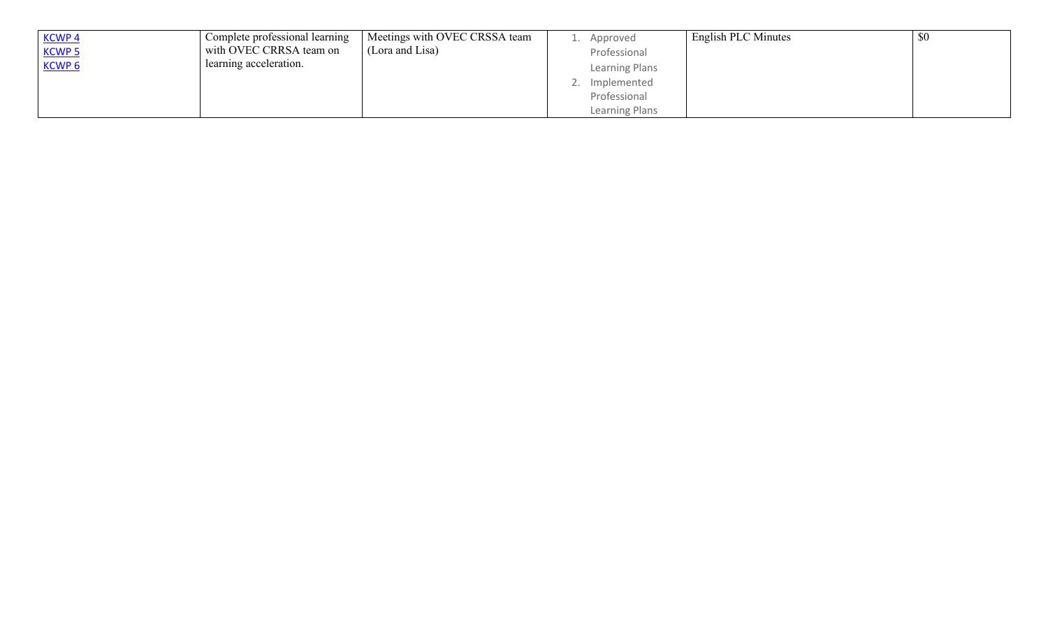| KCWP 4        | Complete professional learning | Meetings with OVEC CRSSA team | Approved           | English PLC Minutes | \$0 |
|---------------|--------------------------------|-------------------------------|--------------------|---------------------|-----|
| <b>KCWP 5</b> | with OVEC CRRSA team on        | (Lora and Lisa)               | Professional       |                     |     |
| KCWP 6        | learning acceleration.         |                               | Learning Plans     |                     |     |
|               |                                |                               | Implemented<br>. ے |                     |     |
|               |                                |                               | Professional       |                     |     |
|               |                                |                               | Learning Plans     |                     |     |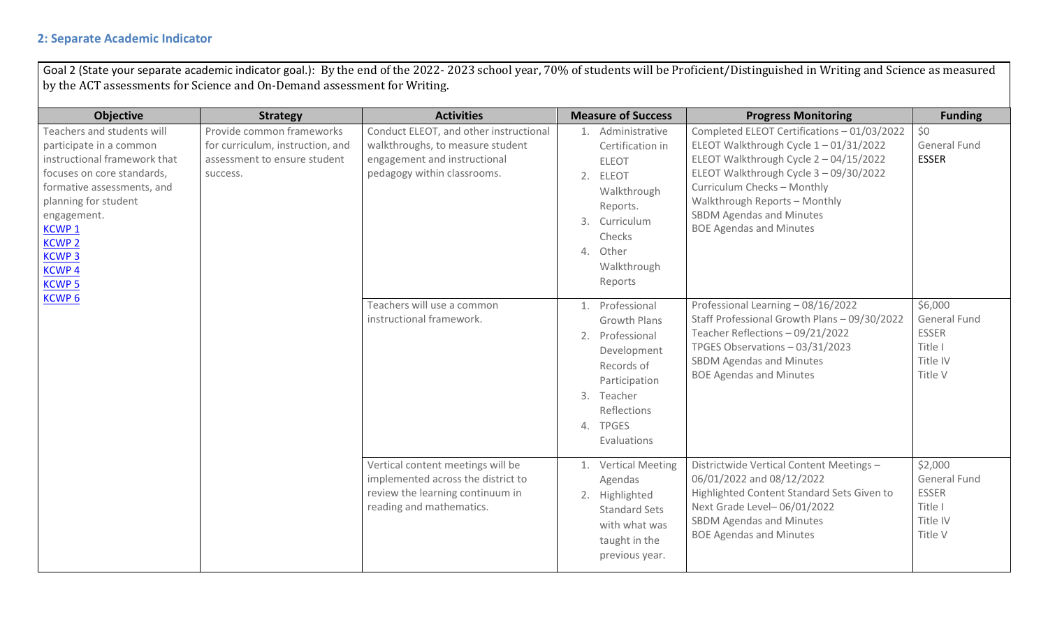### **2: Separate Academic Indicator**

Goal 2 (State your separate academic indicator goal.): By the end of the 2022- 2023 school year, 70% of students will be Proficient/Distinguished in Writing and Science as measured by the ACT assessments for Science and On-Demand assessment for Writing.

| <b>Objective</b>                                                                                                                                                                                                                                                          | <b>Strategy</b>                                                                                           | <b>Activities</b>                                                                                                                         | <b>Measure of Success</b>                                                                                                                                       | <b>Progress Monitoring</b>                                                                                                                                                                                                                                                                                 | <b>Funding</b>                                                            |
|---------------------------------------------------------------------------------------------------------------------------------------------------------------------------------------------------------------------------------------------------------------------------|-----------------------------------------------------------------------------------------------------------|-------------------------------------------------------------------------------------------------------------------------------------------|-----------------------------------------------------------------------------------------------------------------------------------------------------------------|------------------------------------------------------------------------------------------------------------------------------------------------------------------------------------------------------------------------------------------------------------------------------------------------------------|---------------------------------------------------------------------------|
| Teachers and students will<br>participate in a common<br>instructional framework that<br>focuses on core standards,<br>formative assessments, and<br>planning for student<br>engagement.<br><b>KCWP1</b><br><b>KCWP 2</b><br><b>KCWP3</b><br><b>KCWP4</b><br><b>KCWP5</b> | Provide common frameworks<br>for curriculum, instruction, and<br>assessment to ensure student<br>success. | Conduct ELEOT, and other instructional<br>walkthroughs, to measure student<br>engagement and instructional<br>pedagogy within classrooms. | 1. Administrative<br>Certification in<br><b>ELEOT</b><br>2. ELEOT<br>Walkthrough<br>Reports.<br>3. Curriculum<br>Checks<br>4. Other<br>Walkthrough<br>Reports   | Completed ELEOT Certifications - 01/03/2022<br>ELEOT Walkthrough Cycle 1-01/31/2022<br>ELEOT Walkthrough Cycle 2-04/15/2022<br>ELEOT Walkthrough Cycle 3 - 09/30/2022<br>Curriculum Checks - Monthly<br>Walkthrough Reports - Monthly<br><b>SBDM Agendas and Minutes</b><br><b>BOE Agendas and Minutes</b> | \$0<br>General Fund<br><b>ESSER</b>                                       |
| <b>KCWP6</b>                                                                                                                                                                                                                                                              |                                                                                                           | Teachers will use a common<br>instructional framework.                                                                                    | 1. Professional<br><b>Growth Plans</b><br>2. Professional<br>Development<br>Records of<br>Participation<br>3. Teacher<br>Reflections<br>4. TPGES<br>Evaluations | Professional Learning - 08/16/2022<br>Staff Professional Growth Plans - 09/30/2022<br>Teacher Reflections - 09/21/2022<br>TPGES Observations - 03/31/2023<br><b>SBDM Agendas and Minutes</b><br><b>BOE Agendas and Minutes</b>                                                                             | \$6,000<br>General Fund<br><b>ESSER</b><br>Title I<br>Title IV<br>Title V |
|                                                                                                                                                                                                                                                                           |                                                                                                           | Vertical content meetings will be<br>implemented across the district to<br>review the learning continuum in<br>reading and mathematics.   | 1. Vertical Meeting<br>Agendas<br>2. Highlighted<br><b>Standard Sets</b><br>with what was<br>taught in the<br>previous year.                                    | Districtwide Vertical Content Meetings -<br>06/01/2022 and 08/12/2022<br>Highlighted Content Standard Sets Given to<br>Next Grade Level-06/01/2022<br><b>SBDM Agendas and Minutes</b><br><b>BOE Agendas and Minutes</b>                                                                                    | \$2,000<br>General Fund<br><b>ESSER</b><br>Title I<br>Title IV<br>Title V |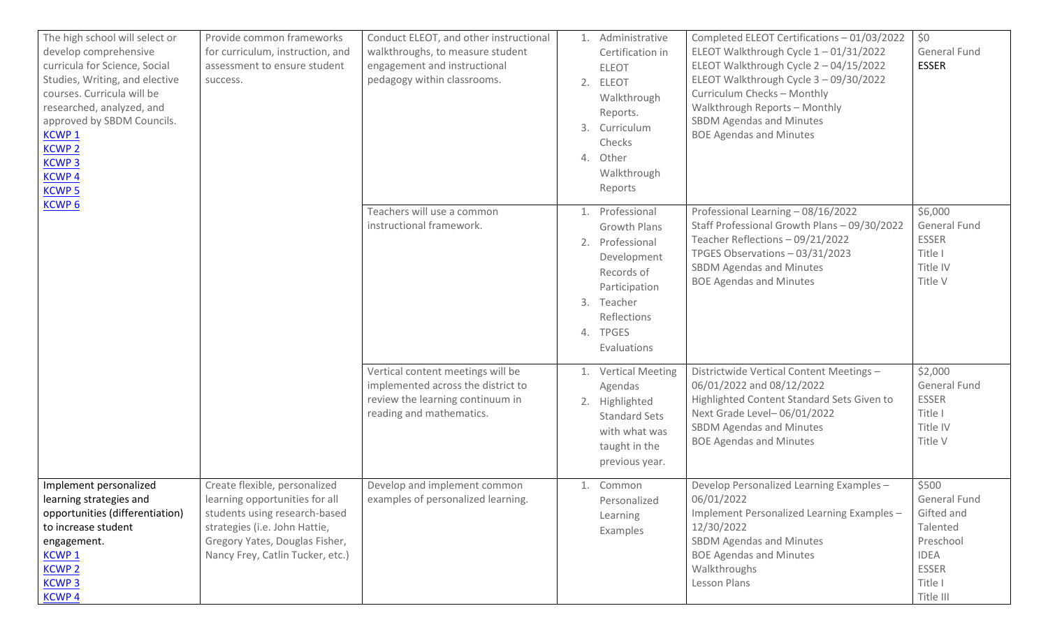| The high school will select or<br>develop comprehensive<br>curricula for Science, Social<br>Studies, Writing, and elective<br>courses. Curricula will be<br>researched, analyzed, and<br>approved by SBDM Councils.<br><b>KCWP1</b><br><b>KCWP 2</b><br><b>KCWP3</b><br><b>KCWP4</b><br><b>KCWP5</b> | Provide common frameworks<br>for curriculum, instruction, and<br>assessment to ensure student<br>success.                                                                                               | Conduct ELEOT, and other instructional<br>walkthroughs, to measure student<br>engagement and instructional<br>pedagogy within classrooms. | 1. Administrative<br>Certification in<br><b>ELEOT</b><br>2. ELEOT<br>Walkthrough<br>Reports.<br>3. Curriculum<br>Checks<br>4. Other<br>Walkthrough<br>Reports   | Completed ELEOT Certifications - 01/03/2022<br>ELEOT Walkthrough Cycle 1-01/31/2022<br>ELEOT Walkthrough Cycle 2 - 04/15/2022<br>ELEOT Walkthrough Cycle 3 - 09/30/2022<br>Curriculum Checks - Monthly<br>Walkthrough Reports - Monthly<br><b>SBDM Agendas and Minutes</b><br><b>BOE Agendas and Minutes</b> | \$0<br>General Fund<br><b>ESSER</b>                                                                                 |
|------------------------------------------------------------------------------------------------------------------------------------------------------------------------------------------------------------------------------------------------------------------------------------------------------|---------------------------------------------------------------------------------------------------------------------------------------------------------------------------------------------------------|-------------------------------------------------------------------------------------------------------------------------------------------|-----------------------------------------------------------------------------------------------------------------------------------------------------------------|--------------------------------------------------------------------------------------------------------------------------------------------------------------------------------------------------------------------------------------------------------------------------------------------------------------|---------------------------------------------------------------------------------------------------------------------|
| <b>KCWP6</b>                                                                                                                                                                                                                                                                                         |                                                                                                                                                                                                         | Teachers will use a common<br>instructional framework.                                                                                    | 1. Professional<br><b>Growth Plans</b><br>2. Professional<br>Development<br>Records of<br>Participation<br>3. Teacher<br>Reflections<br>4. TPGES<br>Evaluations | Professional Learning - 08/16/2022<br>Staff Professional Growth Plans - 09/30/2022<br>Teacher Reflections - 09/21/2022<br>TPGES Observations - 03/31/2023<br><b>SBDM Agendas and Minutes</b><br><b>BOE Agendas and Minutes</b>                                                                               | \$6,000<br><b>General Fund</b><br><b>ESSER</b><br>Title I<br>Title IV<br>Title V                                    |
|                                                                                                                                                                                                                                                                                                      |                                                                                                                                                                                                         | Vertical content meetings will be<br>implemented across the district to<br>review the learning continuum in<br>reading and mathematics.   | 1. Vertical Meeting<br>Agendas<br>2. Highlighted<br><b>Standard Sets</b><br>with what was<br>taught in the<br>previous year.                                    | Districtwide Vertical Content Meetings -<br>06/01/2022 and 08/12/2022<br>Highlighted Content Standard Sets Given to<br>Next Grade Level-06/01/2022<br><b>SBDM Agendas and Minutes</b><br><b>BOE Agendas and Minutes</b>                                                                                      | \$2,000<br>General Fund<br><b>ESSER</b><br>Title I<br>Title IV<br>Title V                                           |
| Implement personalized<br>learning strategies and<br>opportunities (differentiation)<br>to increase student<br>engagement.<br><b>KCWP1</b><br><b>KCWP2</b><br><b>KCWP3</b><br><b>KCWP4</b>                                                                                                           | Create flexible, personalized<br>learning opportunities for all<br>students using research-based<br>strategies (i.e. John Hattie,<br>Gregory Yates, Douglas Fisher,<br>Nancy Frey, Catlin Tucker, etc.) | Develop and implement common<br>examples of personalized learning.                                                                        | 1. Common<br>Personalized<br>Learning<br>Examples                                                                                                               | Develop Personalized Learning Examples -<br>06/01/2022<br>Implement Personalized Learning Examples -<br>12/30/2022<br>SBDM Agendas and Minutes<br><b>BOE Agendas and Minutes</b><br>Walkthroughs<br><b>Lesson Plans</b>                                                                                      | \$500<br>General Fund<br>Gifted and<br>Talented<br>Preschool<br><b>IDEA</b><br><b>ESSER</b><br>Title I<br>Title III |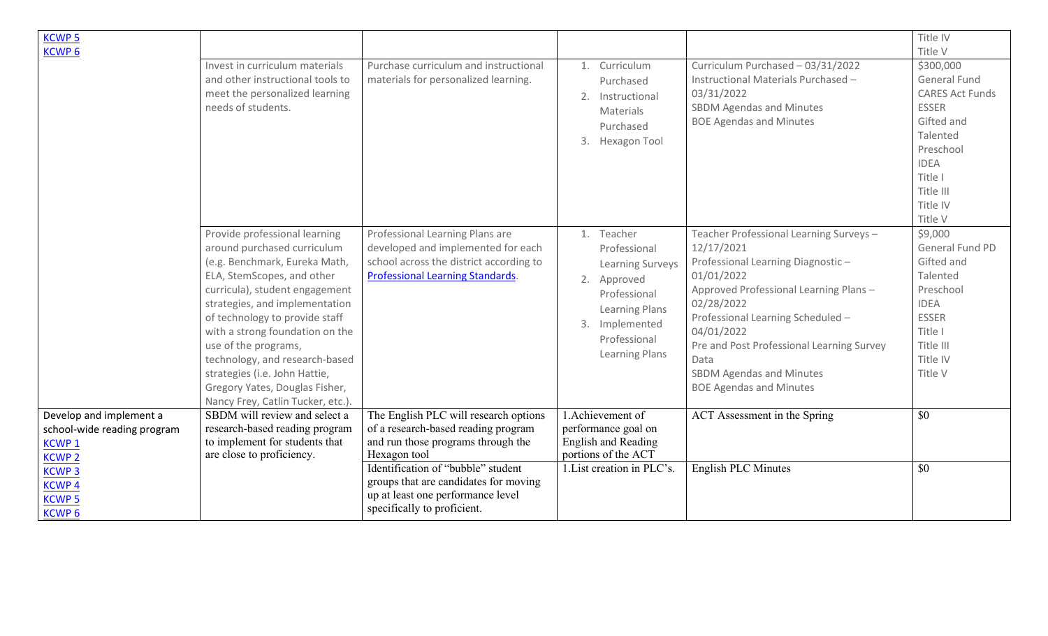| <b>KCWP5</b><br><b>KCWP6</b>                                 |                                                                                                                                                                                                                                                                                                                                                                                                                                        |                                                                                                                                                             |                                                                                                                                                                   |                                                                                                                                                                                                                                                                                                                                              | Title IV<br>Title V                                                                                                                                                             |
|--------------------------------------------------------------|----------------------------------------------------------------------------------------------------------------------------------------------------------------------------------------------------------------------------------------------------------------------------------------------------------------------------------------------------------------------------------------------------------------------------------------|-------------------------------------------------------------------------------------------------------------------------------------------------------------|-------------------------------------------------------------------------------------------------------------------------------------------------------------------|----------------------------------------------------------------------------------------------------------------------------------------------------------------------------------------------------------------------------------------------------------------------------------------------------------------------------------------------|---------------------------------------------------------------------------------------------------------------------------------------------------------------------------------|
|                                                              | Invest in curriculum materials<br>and other instructional tools to<br>meet the personalized learning<br>needs of students.                                                                                                                                                                                                                                                                                                             | Purchase curriculum and instructional<br>materials for personalized learning.                                                                               | 1. Curriculum<br>Purchased<br>2. Instructional<br>Materials<br>Purchased<br>3. Hexagon Tool                                                                       | Curriculum Purchased - 03/31/2022<br>Instructional Materials Purchased -<br>03/31/2022<br><b>SBDM Agendas and Minutes</b><br><b>BOE Agendas and Minutes</b>                                                                                                                                                                                  | \$300,000<br><b>General Fund</b><br><b>CARES Act Funds</b><br><b>ESSER</b><br>Gifted and<br>Talented<br>Preschool<br><b>IDEA</b><br>Title I<br>Title III<br>Title IV<br>Title V |
|                                                              | Provide professional learning<br>around purchased curriculum<br>(e.g. Benchmark, Eureka Math,<br>ELA, StemScopes, and other<br>curricula), student engagement<br>strategies, and implementation<br>of technology to provide staff<br>with a strong foundation on the<br>use of the programs,<br>technology, and research-based<br>strategies (i.e. John Hattie,<br>Gregory Yates, Douglas Fisher,<br>Nancy Frey, Catlin Tucker, etc.). | Professional Learning Plans are<br>developed and implemented for each<br>school across the district according to<br><b>Professional Learning Standards.</b> | 1. Teacher<br>Professional<br>Learning Surveys<br>2. Approved<br>Professional<br><b>Learning Plans</b><br>3. Implemented<br>Professional<br><b>Learning Plans</b> | Teacher Professional Learning Surveys-<br>12/17/2021<br>Professional Learning Diagnostic-<br>01/01/2022<br>Approved Professional Learning Plans -<br>02/28/2022<br>Professional Learning Scheduled -<br>04/01/2022<br>Pre and Post Professional Learning Survey<br>Data<br><b>SBDM Agendas and Minutes</b><br><b>BOE Agendas and Minutes</b> | \$9,000<br>General Fund PD<br>Gifted and<br>Talented<br>Preschool<br><b>IDEA</b><br><b>ESSER</b><br>Title I<br>Title III<br>Title IV<br>Title V                                 |
| Develop and implement a<br>school-wide reading program       | SBDM will review and select a<br>research-based reading program                                                                                                                                                                                                                                                                                                                                                                        | The English PLC will research options<br>of a research-based reading program                                                                                | 1. Achievement of<br>performance goal on                                                                                                                          | ACT Assessment in the Spring                                                                                                                                                                                                                                                                                                                 | \$0                                                                                                                                                                             |
| <b>KCWP1</b><br><b>KCWP2</b>                                 | to implement for students that<br>are close to proficiency.                                                                                                                                                                                                                                                                                                                                                                            | and run those programs through the<br>Hexagon tool                                                                                                          | <b>English and Reading</b><br>portions of the ACT                                                                                                                 |                                                                                                                                                                                                                                                                                                                                              |                                                                                                                                                                                 |
| <b>KCWP3</b><br><b>KCWP4</b><br><b>KCWP5</b><br><b>KCWP6</b> |                                                                                                                                                                                                                                                                                                                                                                                                                                        | Identification of "bubble" student<br>groups that are candidates for moving<br>up at least one performance level<br>specifically to proficient.             | 1. List creation in PLC's.                                                                                                                                        | English PLC Minutes                                                                                                                                                                                                                                                                                                                          | \$0                                                                                                                                                                             |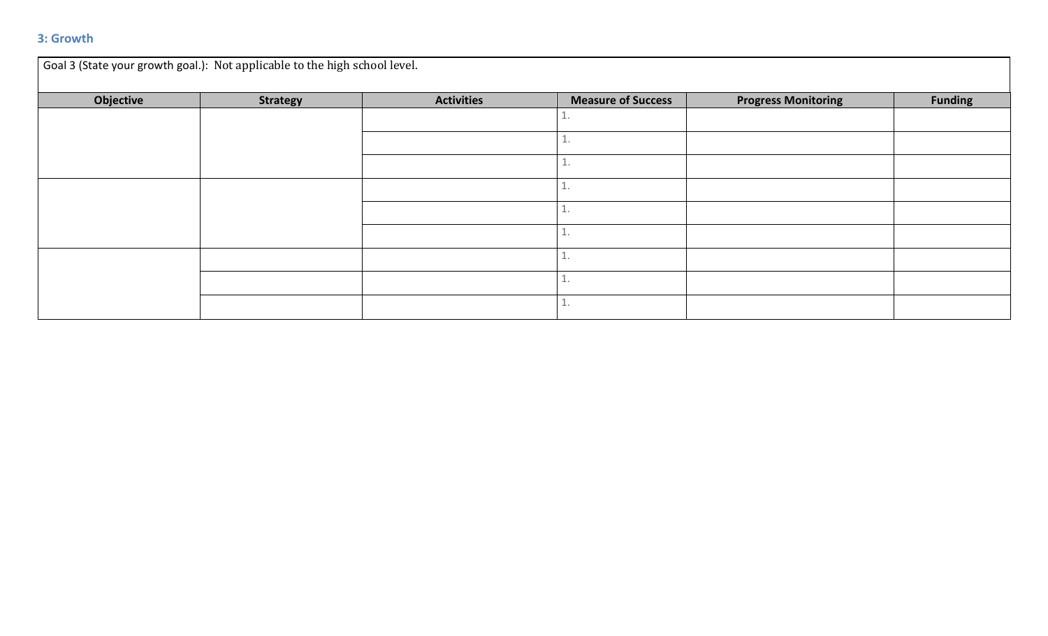### **3: Growth**

| Goal 3 (State your growth goal.): Not applicable to the high school level. |                 |                   |                           |                            |                |  |  |
|----------------------------------------------------------------------------|-----------------|-------------------|---------------------------|----------------------------|----------------|--|--|
| Objective                                                                  | <b>Strategy</b> | <b>Activities</b> | <b>Measure of Success</b> | <b>Progress Monitoring</b> | <b>Funding</b> |  |  |
|                                                                            |                 |                   |                           |                            |                |  |  |
|                                                                            |                 |                   |                           |                            |                |  |  |
|                                                                            |                 |                   | و بال                     |                            |                |  |  |
|                                                                            |                 |                   |                           |                            |                |  |  |
|                                                                            |                 |                   | <b>L.</b>                 |                            |                |  |  |
|                                                                            |                 |                   |                           |                            |                |  |  |
|                                                                            |                 |                   | ᆂ.                        |                            |                |  |  |
|                                                                            |                 |                   | ᆂ.                        |                            |                |  |  |
|                                                                            |                 |                   |                           |                            |                |  |  |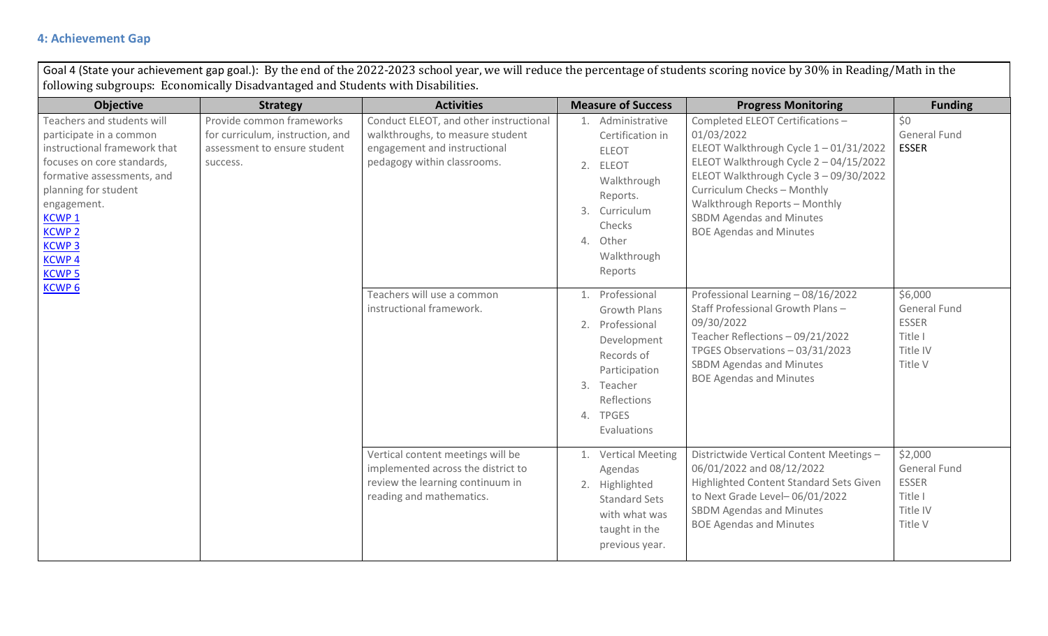### **4: Achievement Gap**

Goal 4 (State your achievement gap goal.): By the end of the 2022-2023 school year, we will reduce the percentage of students scoring novice by 30% in Reading/Math in the following subgroups: Economically Disadvantaged and Students with Disabilities.

| <b>Objective</b>                                                                                                                                                                                                                                                          | <b>Strategy</b>                                                                                           | <b>Activities</b>                                                                                                                         | <b>Measure of Success</b>                                                                                                                                       | <b>Progress Monitoring</b>                                                                                                                                                                                                                                                                                      | <b>Funding</b>                                                            |
|---------------------------------------------------------------------------------------------------------------------------------------------------------------------------------------------------------------------------------------------------------------------------|-----------------------------------------------------------------------------------------------------------|-------------------------------------------------------------------------------------------------------------------------------------------|-----------------------------------------------------------------------------------------------------------------------------------------------------------------|-----------------------------------------------------------------------------------------------------------------------------------------------------------------------------------------------------------------------------------------------------------------------------------------------------------------|---------------------------------------------------------------------------|
| Teachers and students will<br>participate in a common<br>instructional framework that<br>focuses on core standards,<br>formative assessments, and<br>planning for student<br>engagement.<br><b>KCWP1</b><br><b>KCWP 2</b><br><b>KCWP3</b><br><b>KCWP4</b><br><b>KCWP5</b> | Provide common frameworks<br>for curriculum, instruction, and<br>assessment to ensure student<br>success. | Conduct ELEOT, and other instructional<br>walkthroughs, to measure student<br>engagement and instructional<br>pedagogy within classrooms. | 1. Administrative<br>Certification in<br><b>ELEOT</b><br>2. ELEOT<br>Walkthrough<br>Reports.<br>3. Curriculum<br>Checks<br>4. Other<br>Walkthrough<br>Reports   | Completed ELEOT Certifications -<br>01/03/2022<br>ELEOT Walkthrough Cycle 1-01/31/2022<br>ELEOT Walkthrough Cycle 2 - 04/15/2022<br>ELEOT Walkthrough Cycle 3 - 09/30/2022<br>Curriculum Checks - Monthly<br>Walkthrough Reports - Monthly<br><b>SBDM Agendas and Minutes</b><br><b>BOE Agendas and Minutes</b> | \$0<br><b>General Fund</b><br><b>ESSER</b>                                |
| <b>KCWP6</b>                                                                                                                                                                                                                                                              |                                                                                                           | Teachers will use a common<br>instructional framework.                                                                                    | 1. Professional<br><b>Growth Plans</b><br>2. Professional<br>Development<br>Records of<br>Participation<br>3. Teacher<br>Reflections<br>4. TPGES<br>Evaluations | Professional Learning - 08/16/2022<br>Staff Professional Growth Plans -<br>09/30/2022<br>Teacher Reflections - 09/21/2022<br>TPGES Observations - 03/31/2023<br><b>SBDM Agendas and Minutes</b><br><b>BOE Agendas and Minutes</b>                                                                               | \$6,000<br>General Fund<br><b>ESSER</b><br>Title I<br>Title IV<br>Title V |
|                                                                                                                                                                                                                                                                           |                                                                                                           | Vertical content meetings will be<br>implemented across the district to<br>review the learning continuum in<br>reading and mathematics.   | 1. Vertical Meeting<br>Agendas<br>2. Highlighted<br><b>Standard Sets</b><br>with what was<br>taught in the<br>previous year.                                    | Districtwide Vertical Content Meetings -<br>06/01/2022 and 08/12/2022<br>Highlighted Content Standard Sets Given<br>to Next Grade Level-06/01/2022<br><b>SBDM Agendas and Minutes</b><br><b>BOE Agendas and Minutes</b>                                                                                         | \$2,000<br>General Fund<br><b>ESSER</b><br>Title I<br>Title IV<br>Title V |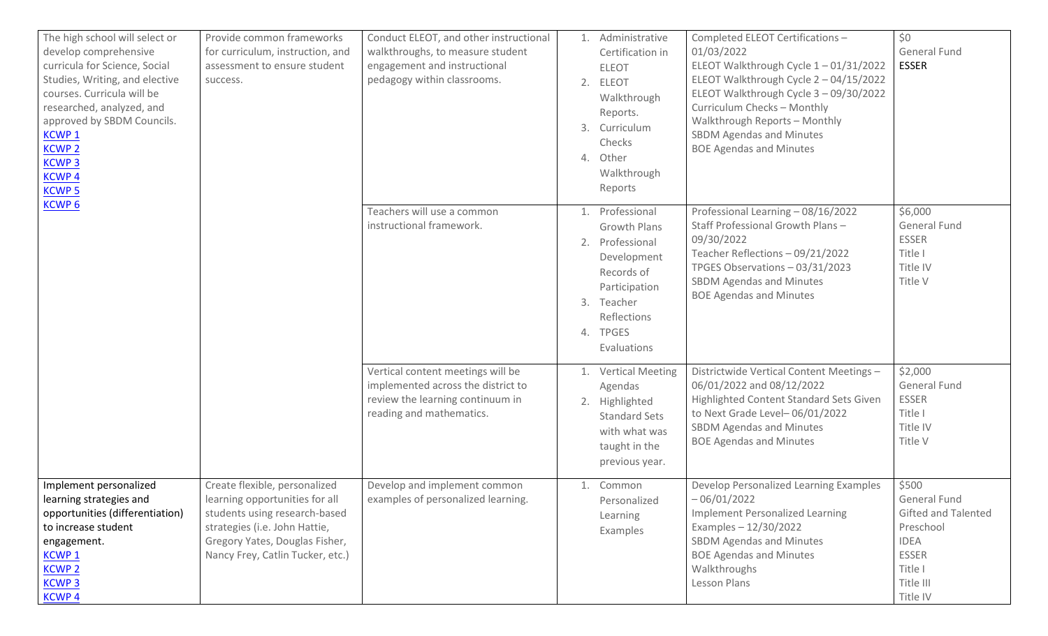| The high school will select or<br>develop comprehensive<br>curricula for Science, Social<br>Studies, Writing, and elective<br>success.<br>courses. Curricula will be<br>researched, analyzed, and<br>approved by SBDM Councils.<br><b>KCWP1</b><br><b>KCWP 2</b><br><b>KCWP3</b><br><b>KCWP4</b><br><b>KCWP5</b> | Provide common frameworks<br>for curriculum, instruction, and<br>assessment to ensure student                                                                                                           | Conduct ELEOT, and other instructional<br>walkthroughs, to measure student<br>engagement and instructional<br>pedagogy within classrooms. | 1. Administrative<br>Certification in<br><b>ELEOT</b><br>2. ELEOT<br>Walkthrough<br>Reports.<br>3. Curriculum<br>Checks<br>4. Other<br>Walkthrough<br>Reports   | Completed ELEOT Certifications -<br>01/03/2022<br>ELEOT Walkthrough Cycle 1-01/31/2022<br>ELEOT Walkthrough Cycle 2 - 04/15/2022<br>ELEOT Walkthrough Cycle 3 - 09/30/2022<br>Curriculum Checks - Monthly<br>Walkthrough Reports - Monthly<br><b>SBDM Agendas and Minutes</b><br><b>BOE Agendas and Minutes</b> | \$0<br>General Fund<br><b>ESSER</b>                                                                                                 |
|------------------------------------------------------------------------------------------------------------------------------------------------------------------------------------------------------------------------------------------------------------------------------------------------------------------|---------------------------------------------------------------------------------------------------------------------------------------------------------------------------------------------------------|-------------------------------------------------------------------------------------------------------------------------------------------|-----------------------------------------------------------------------------------------------------------------------------------------------------------------|-----------------------------------------------------------------------------------------------------------------------------------------------------------------------------------------------------------------------------------------------------------------------------------------------------------------|-------------------------------------------------------------------------------------------------------------------------------------|
| <b>KCWP6</b>                                                                                                                                                                                                                                                                                                     |                                                                                                                                                                                                         | Teachers will use a common<br>instructional framework.                                                                                    | 1. Professional<br><b>Growth Plans</b><br>2. Professional<br>Development<br>Records of<br>Participation<br>3. Teacher<br>Reflections<br>4. TPGES<br>Evaluations | Professional Learning - 08/16/2022<br>Staff Professional Growth Plans-<br>09/30/2022<br>Teacher Reflections - 09/21/2022<br>TPGES Observations - 03/31/2023<br><b>SBDM Agendas and Minutes</b><br><b>BOE Agendas and Minutes</b>                                                                                | \$6,000<br><b>General Fund</b><br><b>ESSER</b><br>Title I<br>Title IV<br>Title V                                                    |
|                                                                                                                                                                                                                                                                                                                  |                                                                                                                                                                                                         | Vertical content meetings will be<br>implemented across the district to<br>review the learning continuum in<br>reading and mathematics.   | 1. Vertical Meeting<br>Agendas<br>2. Highlighted<br><b>Standard Sets</b><br>with what was<br>taught in the<br>previous year.                                    | Districtwide Vertical Content Meetings -<br>06/01/2022 and 08/12/2022<br>Highlighted Content Standard Sets Given<br>to Next Grade Level-06/01/2022<br><b>SBDM Agendas and Minutes</b><br><b>BOE Agendas and Minutes</b>                                                                                         | \$2,000<br>General Fund<br><b>ESSER</b><br>Title I<br>Title IV<br>Title V                                                           |
| Implement personalized<br>learning strategies and<br>opportunities (differentiation)<br>to increase student<br>engagement.<br><b>KCWP1</b><br><b>KCWP 2</b><br><b>KCWP3</b><br><b>KCWP4</b>                                                                                                                      | Create flexible, personalized<br>learning opportunities for all<br>students using research-based<br>strategies (i.e. John Hattie,<br>Gregory Yates, Douglas Fisher,<br>Nancy Frey, Catlin Tucker, etc.) | Develop and implement common<br>examples of personalized learning.                                                                        | 1. Common<br>Personalized<br>Learning<br>Examples                                                                                                               | Develop Personalized Learning Examples<br>$-06/01/2022$<br><b>Implement Personalized Learning</b><br>Examples $-12/30/2022$<br>SBDM Agendas and Minutes<br><b>BOE Agendas and Minutes</b><br>Walkthroughs<br>Lesson Plans                                                                                       | \$500<br>General Fund<br><b>Gifted and Talented</b><br>Preschool<br><b>IDEA</b><br><b>ESSER</b><br>Title I<br>Title III<br>Title IV |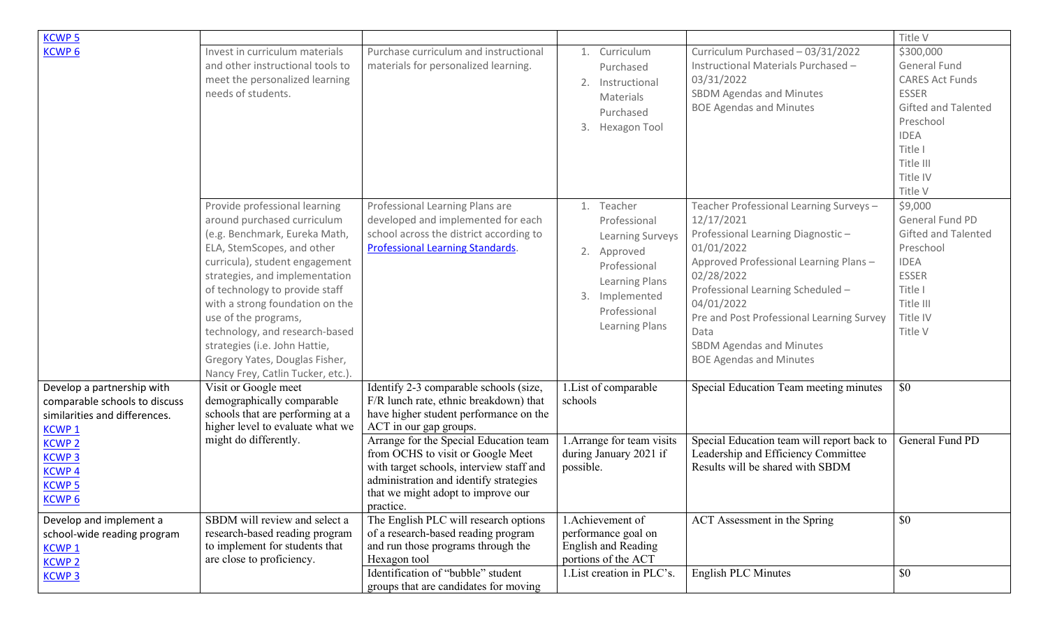| <b>KCWP5</b>                                                                                                 |                                                                                                                                                                                                                                                                                                                                                                                                                                       |                                                                                                                                                                                                                      |                                                                                                                                                            |                                                                                                                                                                                                                                                                                                                                              | Title V                                                                                                                                                                      |
|--------------------------------------------------------------------------------------------------------------|---------------------------------------------------------------------------------------------------------------------------------------------------------------------------------------------------------------------------------------------------------------------------------------------------------------------------------------------------------------------------------------------------------------------------------------|----------------------------------------------------------------------------------------------------------------------------------------------------------------------------------------------------------------------|------------------------------------------------------------------------------------------------------------------------------------------------------------|----------------------------------------------------------------------------------------------------------------------------------------------------------------------------------------------------------------------------------------------------------------------------------------------------------------------------------------------|------------------------------------------------------------------------------------------------------------------------------------------------------------------------------|
| <b>KCWP6</b>                                                                                                 | Invest in curriculum materials<br>and other instructional tools to<br>meet the personalized learning<br>needs of students.                                                                                                                                                                                                                                                                                                            | Purchase curriculum and instructional<br>materials for personalized learning.                                                                                                                                        | 1. Curriculum<br>Purchased<br>2. Instructional<br>Materials<br>Purchased<br>3. Hexagon Tool                                                                | Curriculum Purchased - 03/31/2022<br>Instructional Materials Purchased -<br>03/31/2022<br><b>SBDM Agendas and Minutes</b><br><b>BOE Agendas and Minutes</b>                                                                                                                                                                                  | \$300,000<br><b>General Fund</b><br><b>CARES Act Funds</b><br><b>ESSER</b><br>Gifted and Talented<br>Preschool<br><b>IDEA</b><br>Title I<br>Title III<br>Title IV<br>Title V |
|                                                                                                              | Provide professional learning<br>around purchased curriculum<br>(e.g. Benchmark, Eureka Math,<br>ELA, StemScopes, and other<br>curricula), student engagement<br>strategies, and implementation<br>of technology to provide staff<br>with a strong foundation on the<br>use of the programs,<br>technology, and research-based<br>strategies (i.e. John Hattie,<br>Gregory Yates, Douglas Fisher,<br>Nancy Frey, Catlin Tucker, etc.) | Professional Learning Plans are<br>developed and implemented for each<br>school across the district according to<br><b>Professional Learning Standards.</b>                                                          | 1. Teacher<br>Professional<br><b>Learning Surveys</b><br>2. Approved<br>Professional<br>Learning Plans<br>3. Implemented<br>Professional<br>Learning Plans | Teacher Professional Learning Surveys-<br>12/17/2021<br>Professional Learning Diagnostic-<br>01/01/2022<br>Approved Professional Learning Plans -<br>02/28/2022<br>Professional Learning Scheduled -<br>04/01/2022<br>Pre and Post Professional Learning Survey<br>Data<br><b>SBDM Agendas and Minutes</b><br><b>BOE Agendas and Minutes</b> | \$9,000<br>General Fund PD<br><b>Gifted and Talented</b><br>Preschool<br><b>IDEA</b><br><b>ESSER</b><br>Title I<br>Title III<br>Title IV<br>Title V                          |
| Develop a partnership with<br>comparable schools to discuss<br>similarities and differences.<br><b>KCWP1</b> | Visit or Google meet<br>demographically comparable<br>schools that are performing at a<br>higher level to evaluate what we                                                                                                                                                                                                                                                                                                            | Identify 2-3 comparable schools (size,<br>F/R lunch rate, ethnic breakdown) that<br>have higher student performance on the<br>ACT in our gap groups.                                                                 | 1. List of comparable<br>schools                                                                                                                           | Special Education Team meeting minutes                                                                                                                                                                                                                                                                                                       | \$0                                                                                                                                                                          |
| <b>KCWP2</b><br><b>KCWP3</b><br><b>KCWP4</b><br><b>KCWP5</b><br><b>KCWP6</b>                                 | might do differently.                                                                                                                                                                                                                                                                                                                                                                                                                 | Arrange for the Special Education team<br>from OCHS to visit or Google Meet<br>with target schools, interview staff and<br>administration and identify strategies<br>that we might adopt to improve our<br>practice. | <b>L</b> . Arrange for team visits<br>during January 2021 if<br>possible.                                                                                  | Special Education team will report back to<br>Leadership and Efficiency Committee<br>Results will be shared with SBDM                                                                                                                                                                                                                        | General Fund PD                                                                                                                                                              |
| Develop and implement a<br>school-wide reading program<br><b>KCWP1</b><br><b>KCWP 2</b>                      | SBDM will review and select a<br>research-based reading program<br>to implement for students that<br>are close to proficiency.                                                                                                                                                                                                                                                                                                        | The English PLC will research options<br>of a research-based reading program<br>and run those programs through the<br>Hexagon tool                                                                                   | 1. Achievement of<br>performance goal on<br>English and Reading<br>portions of the ACT                                                                     | ACT Assessment in the Spring                                                                                                                                                                                                                                                                                                                 | \$0                                                                                                                                                                          |
| <b>KCWP3</b>                                                                                                 |                                                                                                                                                                                                                                                                                                                                                                                                                                       | Identification of "bubble" student<br>groups that are candidates for moving                                                                                                                                          | 1. List creation in PLC's.                                                                                                                                 | English PLC Minutes                                                                                                                                                                                                                                                                                                                          | \$0                                                                                                                                                                          |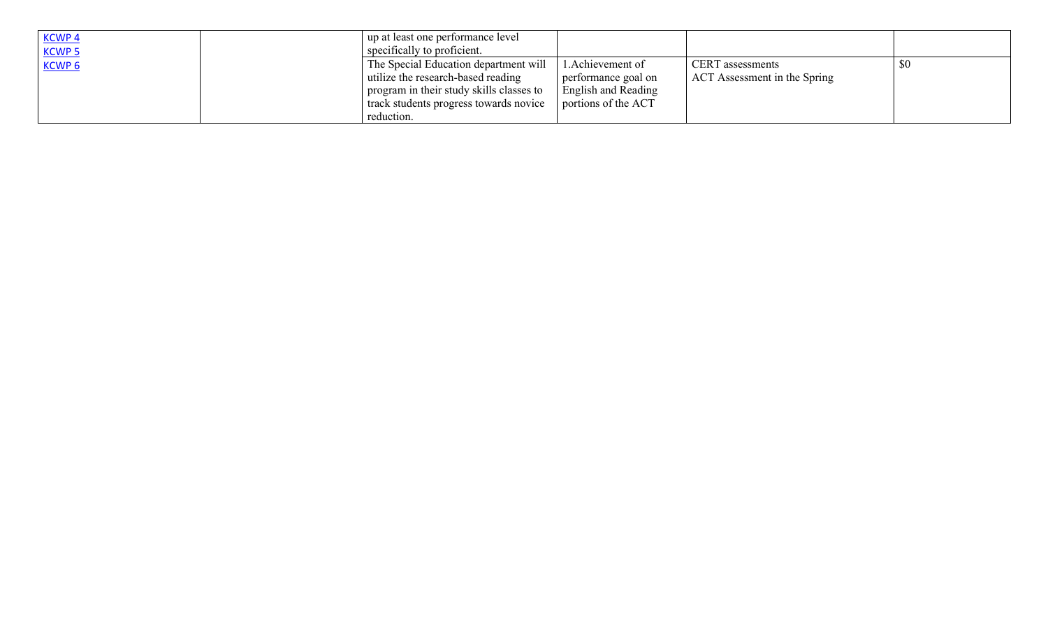| <b>KCWP4</b><br><b>KCWP5</b> | up at least one performance level<br>specifically to proficient.                                                                                                                |                                                                                     |                                                         |  |
|------------------------------|---------------------------------------------------------------------------------------------------------------------------------------------------------------------------------|-------------------------------------------------------------------------------------|---------------------------------------------------------|--|
| KCWP <sub>6</sub>            | The Special Education department will<br>utilize the research-based reading<br>program in their study skills classes to<br>track students progress towards novice<br>reduction. | Achievement of<br>performance goal on<br>English and Reading<br>portions of the ACT | <b>CERT</b> assessments<br>ACT Assessment in the Spring |  |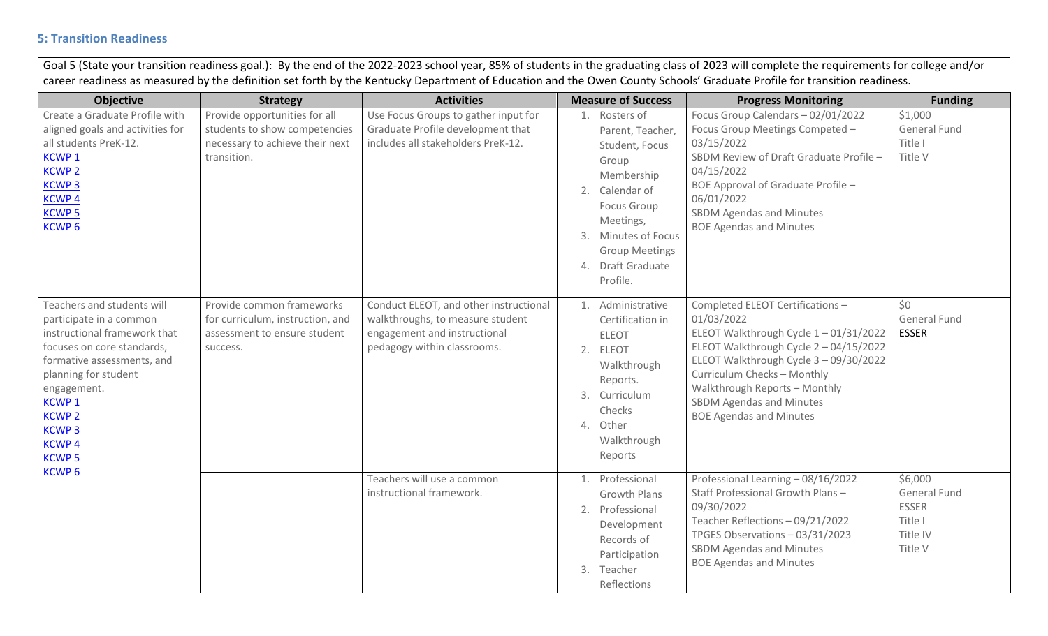### **5: Transition Readiness**

| <b>Objective</b>                                                                                                                                                                                                                                                                | <b>Strategy</b>                                                                                                  | <b>Activities</b>                                                                                                                         | <b>Measure of Success</b>                                                                                                                                                                                        | <b>Progress Monitoring</b>                                                                                                                                                                                                                                                                                      | <b>Funding</b>                                                            |
|---------------------------------------------------------------------------------------------------------------------------------------------------------------------------------------------------------------------------------------------------------------------------------|------------------------------------------------------------------------------------------------------------------|-------------------------------------------------------------------------------------------------------------------------------------------|------------------------------------------------------------------------------------------------------------------------------------------------------------------------------------------------------------------|-----------------------------------------------------------------------------------------------------------------------------------------------------------------------------------------------------------------------------------------------------------------------------------------------------------------|---------------------------------------------------------------------------|
| Create a Graduate Profile with<br>aligned goals and activities for<br>all students PreK-12.<br><b>KCWP1</b><br><b>KCWP<sub>2</sub></b><br><b>KCWP<sub>3</sub></b><br><b>KCWP4</b><br><b>KCWP 5</b><br><b>KCWP6</b>                                                              | Provide opportunities for all<br>students to show competencies<br>necessary to achieve their next<br>transition. | Use Focus Groups to gather input for<br>Graduate Profile development that<br>includes all stakeholders PreK-12.                           | 1. Rosters of<br>Parent, Teacher,<br>Student, Focus<br>Group<br>Membership<br>2. Calendar of<br><b>Focus Group</b><br>Meetings,<br>3. Minutes of Focus<br><b>Group Meetings</b><br>4. Draft Graduate<br>Profile. | Focus Group Calendars - 02/01/2022<br>Focus Group Meetings Competed -<br>03/15/2022<br>SBDM Review of Draft Graduate Profile -<br>04/15/2022<br>BOE Approval of Graduate Profile -<br>06/01/2022<br><b>SBDM Agendas and Minutes</b><br><b>BOE Agendas and Minutes</b>                                           | \$1,000<br>General Fund<br>Title I<br>Title V                             |
| Teachers and students will<br>participate in a common<br>instructional framework that<br>focuses on core standards,<br>formative assessments, and<br>planning for student<br>engagement.<br>KCWP <sub>1</sub><br><b>KCWP 2</b><br><b>KCWP3</b><br><b>KCWP4</b><br><b>KCWP 5</b> | Provide common frameworks<br>for curriculum, instruction, and<br>assessment to ensure student<br>success.        | Conduct ELEOT, and other instructional<br>walkthroughs, to measure student<br>engagement and instructional<br>pedagogy within classrooms. | 1. Administrative<br>Certification in<br><b>ELEOT</b><br>2. ELEOT<br>Walkthrough<br>Reports.<br>3. Curriculum<br>Checks<br>4. Other<br>Walkthrough<br>Reports                                                    | Completed ELEOT Certifications -<br>01/03/2022<br>ELEOT Walkthrough Cycle 1-01/31/2022<br>ELEOT Walkthrough Cycle 2 - 04/15/2022<br>ELEOT Walkthrough Cycle 3 - 09/30/2022<br>Curriculum Checks - Monthly<br>Walkthrough Reports - Monthly<br><b>SBDM Agendas and Minutes</b><br><b>BOE Agendas and Minutes</b> | \$0<br><b>General Fund</b><br><b>ESSER</b>                                |
| <b>KCWP6</b>                                                                                                                                                                                                                                                                    |                                                                                                                  | Teachers will use a common<br>instructional framework.                                                                                    | 1. Professional<br><b>Growth Plans</b><br>2. Professional<br>Development<br>Records of<br>Participation<br>3. Teacher<br>Reflections                                                                             | Professional Learning - 08/16/2022<br>Staff Professional Growth Plans-<br>09/30/2022<br>Teacher Reflections - 09/21/2022<br>TPGES Observations - 03/31/2023<br><b>SBDM Agendas and Minutes</b><br><b>BOE Agendas and Minutes</b>                                                                                | \$6,000<br>General Fund<br><b>ESSER</b><br>Title I<br>Title IV<br>Title V |

Goal 5 (State your transition readings goal.): By the end of the 2022-2023 school year, 85% of students in the graduating class of 2023 will complete the requirements for college and/or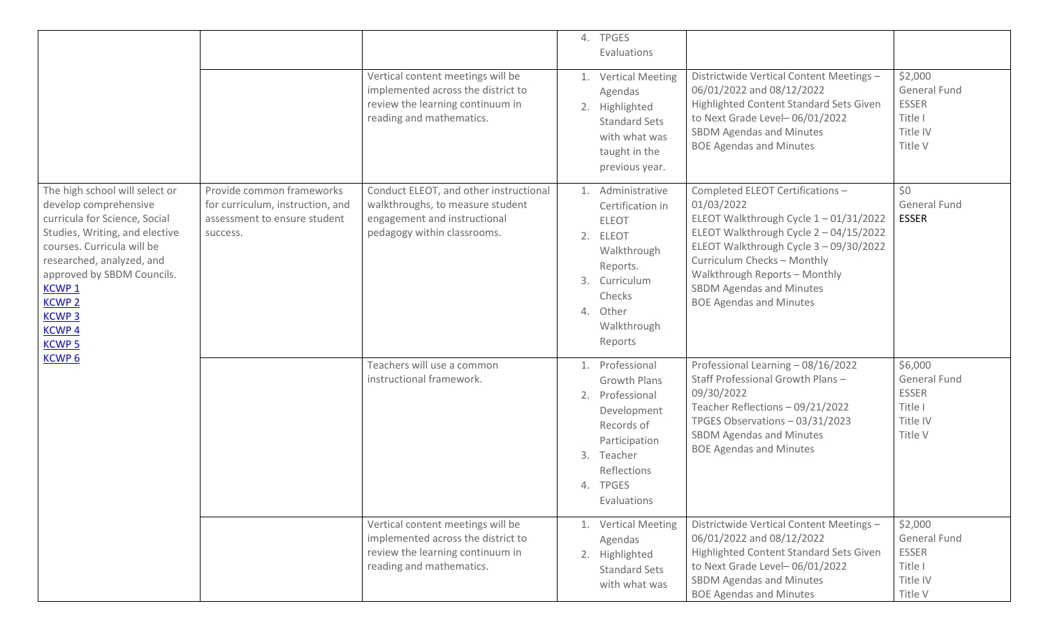|                                                                                                                                                                                                                                                                                                      |                                                                                                           |                                                                                                                                                                 | 4. TPGES<br>Evaluations                                                                                                                                                                                                           |                                                                                                                                                                                                                                                                                                                 |                                                                                  |
|------------------------------------------------------------------------------------------------------------------------------------------------------------------------------------------------------------------------------------------------------------------------------------------------------|-----------------------------------------------------------------------------------------------------------|-----------------------------------------------------------------------------------------------------------------------------------------------------------------|-----------------------------------------------------------------------------------------------------------------------------------------------------------------------------------------------------------------------------------|-----------------------------------------------------------------------------------------------------------------------------------------------------------------------------------------------------------------------------------------------------------------------------------------------------------------|----------------------------------------------------------------------------------|
|                                                                                                                                                                                                                                                                                                      |                                                                                                           | Vertical content meetings will be<br>implemented across the district to<br>review the learning continuum in<br>reading and mathematics.                         | 1. Vertical Meeting<br>Agendas<br>2. Highlighted<br><b>Standard Sets</b><br>with what was<br>taught in the<br>previous year.                                                                                                      | Districtwide Vertical Content Meetings -<br>06/01/2022 and 08/12/2022<br>Highlighted Content Standard Sets Given<br>to Next Grade Level-06/01/2022<br><b>SBDM Agendas and Minutes</b><br><b>BOE Agendas and Minutes</b>                                                                                         | \$2,000<br>General Fund<br><b>ESSER</b><br>Title I<br>Title IV<br>Title V        |
| The high school will select or<br>develop comprehensive<br>curricula for Science, Social<br>Studies, Writing, and elective<br>courses. Curricula will be<br>researched, analyzed, and<br>approved by SBDM Councils.<br><b>KCWP1</b><br><b>KCWP 2</b><br><b>KCWP3</b><br><b>KCWP4</b><br><b>KCWP5</b> | Provide common frameworks<br>for curriculum, instruction, and<br>assessment to ensure student<br>success. | Conduct ELEOT, and other instructional<br>walkthroughs, to measure student<br>engagement and instructional<br>pedagogy within classrooms.                       | 1. Administrative<br>Certification in<br><b>ELEOT</b><br>2. ELEOT<br>Walkthrough<br>Reports.<br>3. Curriculum<br>Checks<br>4. Other<br>Walkthrough<br>Reports                                                                     | Completed ELEOT Certifications -<br>01/03/2022<br>ELEOT Walkthrough Cycle 1-01/31/2022<br>ELEOT Walkthrough Cycle 2 - 04/15/2022<br>ELEOT Walkthrough Cycle 3 - 09/30/2022<br>Curriculum Checks - Monthly<br>Walkthrough Reports - Monthly<br><b>SBDM Agendas and Minutes</b><br><b>BOE Agendas and Minutes</b> | \$0<br><b>General Fund</b><br><b>ESSER</b>                                       |
| <b>KCWP6</b>                                                                                                                                                                                                                                                                                         | Teachers will use a common<br>instructional framework.                                                    | 1. Professional<br><b>Growth Plans</b><br>2. Professional<br>Development<br>Records of<br>Participation<br>3. Teacher<br>Reflections<br>4. TPGES<br>Evaluations | Professional Learning - 08/16/2022<br>Staff Professional Growth Plans -<br>09/30/2022<br>Teacher Reflections - 09/21/2022<br>TPGES Observations - 03/31/2023<br><b>SBDM Agendas and Minutes</b><br><b>BOE Agendas and Minutes</b> | \$6,000<br>General Fund<br><b>ESSER</b><br>Title I<br>Title IV<br>Title V                                                                                                                                                                                                                                       |                                                                                  |
|                                                                                                                                                                                                                                                                                                      |                                                                                                           | Vertical content meetings will be<br>implemented across the district to<br>review the learning continuum in<br>reading and mathematics.                         | 1. Vertical Meeting<br>Agendas<br>2. Highlighted<br><b>Standard Sets</b><br>with what was                                                                                                                                         | Districtwide Vertical Content Meetings -<br>06/01/2022 and 08/12/2022<br>Highlighted Content Standard Sets Given<br>to Next Grade Level-06/01/2022<br><b>SBDM Agendas and Minutes</b><br><b>BOE Agendas and Minutes</b>                                                                                         | \$2,000<br><b>General Fund</b><br><b>ESSER</b><br>Title I<br>Title IV<br>Title V |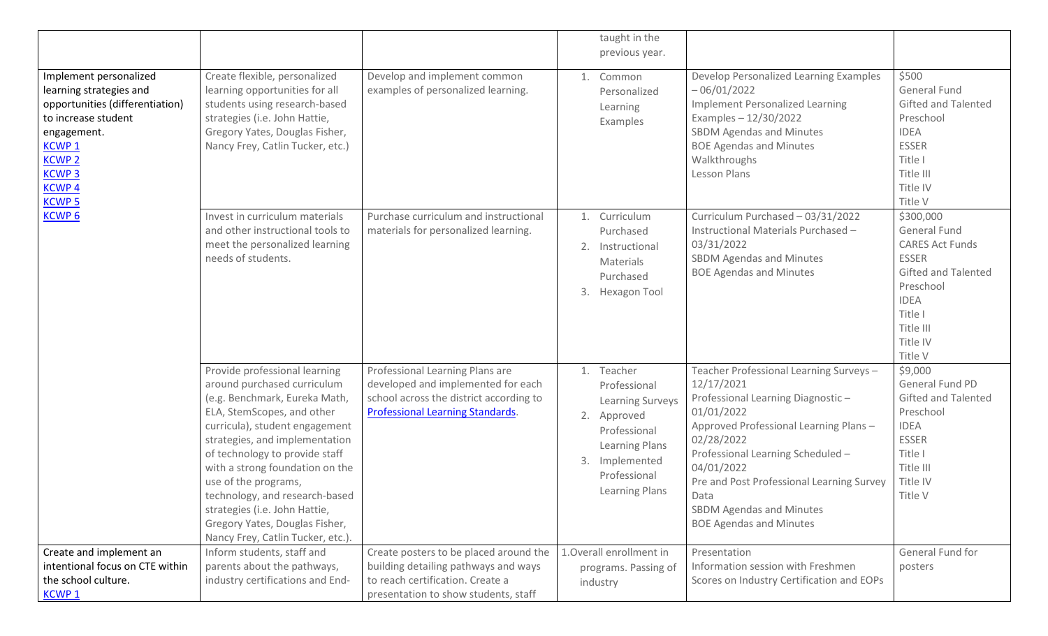|                                                                                                                                                                                                            |                                                                                                                                                                                                                                                                                                                                                                                                                                       |                                                                                                                                                             | taught in the<br>previous year.                                                                                                                            |                                                                                                                                                                                                                                                                                                                                              |                                                                                                                                                                              |
|------------------------------------------------------------------------------------------------------------------------------------------------------------------------------------------------------------|---------------------------------------------------------------------------------------------------------------------------------------------------------------------------------------------------------------------------------------------------------------------------------------------------------------------------------------------------------------------------------------------------------------------------------------|-------------------------------------------------------------------------------------------------------------------------------------------------------------|------------------------------------------------------------------------------------------------------------------------------------------------------------|----------------------------------------------------------------------------------------------------------------------------------------------------------------------------------------------------------------------------------------------------------------------------------------------------------------------------------------------|------------------------------------------------------------------------------------------------------------------------------------------------------------------------------|
|                                                                                                                                                                                                            |                                                                                                                                                                                                                                                                                                                                                                                                                                       |                                                                                                                                                             |                                                                                                                                                            |                                                                                                                                                                                                                                                                                                                                              |                                                                                                                                                                              |
| Implement personalized<br>learning strategies and<br>opportunities (differentiation)<br>to increase student<br>engagement.<br><b>KCWP1</b><br><b>KCWP2</b><br><b>KCWP3</b><br><b>KCWP4</b><br><b>KCWP5</b> | Create flexible, personalized<br>learning opportunities for all<br>students using research-based<br>strategies (i.e. John Hattie,<br>Gregory Yates, Douglas Fisher,<br>Nancy Frey, Catlin Tucker, etc.)                                                                                                                                                                                                                               | Develop and implement common<br>examples of personalized learning.                                                                                          | 1. Common<br>Personalized<br>Learning<br>Examples                                                                                                          | Develop Personalized Learning Examples<br>$-06/01/2022$<br><b>Implement Personalized Learning</b><br>Examples $-12/30/2022$<br><b>SBDM Agendas and Minutes</b><br><b>BOE Agendas and Minutes</b><br>Walkthroughs<br>Lesson Plans                                                                                                             | \$500<br><b>General Fund</b><br>Gifted and Talented<br>Preschool<br><b>IDEA</b><br><b>ESSER</b><br>Title I<br>Title III<br>Title IV<br>Title V                               |
| <b>KCWP6</b>                                                                                                                                                                                               | Invest in curriculum materials<br>and other instructional tools to<br>meet the personalized learning<br>needs of students.                                                                                                                                                                                                                                                                                                            | Purchase curriculum and instructional<br>materials for personalized learning.                                                                               | 1. Curriculum<br>Purchased<br>2. Instructional<br>Materials<br>Purchased<br>3. Hexagon Tool                                                                | Curriculum Purchased - 03/31/2022<br>Instructional Materials Purchased -<br>03/31/2022<br><b>SBDM Agendas and Minutes</b><br><b>BOE Agendas and Minutes</b>                                                                                                                                                                                  | \$300,000<br><b>General Fund</b><br><b>CARES Act Funds</b><br><b>ESSER</b><br>Gifted and Talented<br>Preschool<br><b>IDEA</b><br>Title I<br>Title III<br>Title IV<br>Title V |
|                                                                                                                                                                                                            | Provide professional learning<br>around purchased curriculum<br>(e.g. Benchmark, Eureka Math,<br>ELA, StemScopes, and other<br>curricula), student engagement<br>strategies, and implementation<br>of technology to provide staff<br>with a strong foundation on the<br>use of the programs,<br>technology, and research-based<br>strategies (i.e. John Hattie,<br>Gregory Yates, Douglas Fisher,<br>Nancy Frey, Catlin Tucker, etc.) | Professional Learning Plans are<br>developed and implemented for each<br>school across the district according to<br><b>Professional Learning Standards.</b> | 1. Teacher<br>Professional<br><b>Learning Surveys</b><br>2. Approved<br>Professional<br>Learning Plans<br>3. Implemented<br>Professional<br>Learning Plans | Teacher Professional Learning Surveys-<br>12/17/2021<br>Professional Learning Diagnostic-<br>01/01/2022<br>Approved Professional Learning Plans -<br>02/28/2022<br>Professional Learning Scheduled -<br>04/01/2022<br>Pre and Post Professional Learning Survey<br>Data<br><b>SBDM Agendas and Minutes</b><br><b>BOE Agendas and Minutes</b> | \$9,000<br>General Fund PD<br><b>Gifted and Talented</b><br>Preschool<br><b>IDEA</b><br><b>ESSER</b><br>Title I<br>Title III<br>Title IV<br>Title V                          |
| Create and implement an                                                                                                                                                                                    | Inform students, staff and                                                                                                                                                                                                                                                                                                                                                                                                            | Create posters to be placed around the                                                                                                                      | 1. Overall enrollment in                                                                                                                                   | Presentation                                                                                                                                                                                                                                                                                                                                 | General Fund for                                                                                                                                                             |
| intentional focus on CTE within                                                                                                                                                                            | parents about the pathways,                                                                                                                                                                                                                                                                                                                                                                                                           | building detailing pathways and ways                                                                                                                        | programs. Passing of                                                                                                                                       | Information session with Freshmen                                                                                                                                                                                                                                                                                                            | posters                                                                                                                                                                      |
| the school culture.<br><b>KCWP1</b>                                                                                                                                                                        | industry certifications and End-                                                                                                                                                                                                                                                                                                                                                                                                      | to reach certification. Create a<br>presentation to show students, staff                                                                                    | industry                                                                                                                                                   | Scores on Industry Certification and EOPs                                                                                                                                                                                                                                                                                                    |                                                                                                                                                                              |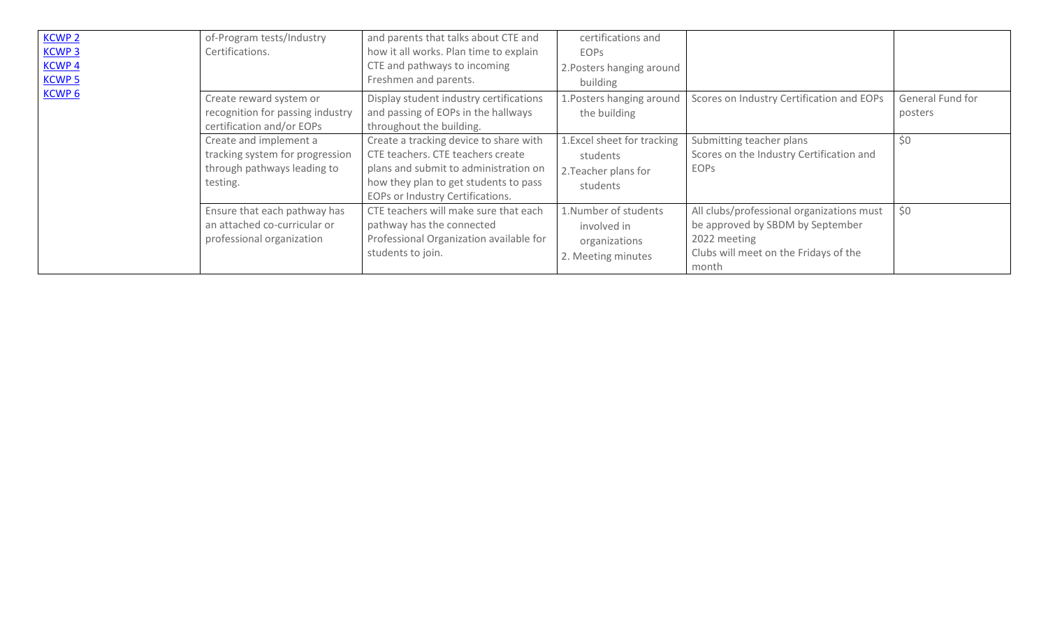| <b>KCWP 2</b>     | of-Program tests/Industry        | and parents that talks about CTE and    | certifications and          |                                           |                  |
|-------------------|----------------------------------|-----------------------------------------|-----------------------------|-------------------------------------------|------------------|
| <b>KCWP3</b>      | Certifications.                  | how it all works. Plan time to explain  | <b>EOPS</b>                 |                                           |                  |
| KCWP <sub>4</sub> |                                  | CTE and pathways to incoming            | 2. Posters hanging around   |                                           |                  |
| <b>KCWP 5</b>     |                                  | Freshmen and parents.                   | building                    |                                           |                  |
| <b>KCWP6</b>      | Create reward system or          | Display student industry certifications | 1. Posters hanging around   | Scores on Industry Certification and EOPs | General Fund for |
|                   | recognition for passing industry | and passing of EOPs in the hallways     | the building                |                                           | posters          |
|                   | certification and/or EOPs        | throughout the building.                |                             |                                           |                  |
|                   | Create and implement a           | Create a tracking device to share with  | 1. Excel sheet for tracking | Submitting teacher plans                  | \$0              |
|                   | tracking system for progression  | CTE teachers. CTE teachers create       | students                    | Scores on the Industry Certification and  |                  |
|                   | through pathways leading to      | plans and submit to administration on   | 2. Teacher plans for        | EOPS                                      |                  |
|                   | testing.                         | how they plan to get students to pass   | students                    |                                           |                  |
|                   |                                  | EOPs or Industry Certifications.        |                             |                                           |                  |
|                   | Ensure that each pathway has     | CTE teachers will make sure that each   | 1.Number of students        | All clubs/professional organizations must | \$0              |
|                   | an attached co-curricular or     | pathway has the connected               | involved in                 | be approved by SBDM by September          |                  |
|                   | professional organization        | Professional Organization available for | organizations               | 2022 meeting                              |                  |
|                   |                                  | students to join.                       | 2. Meeting minutes          | Clubs will meet on the Fridays of the     |                  |
|                   |                                  |                                         |                             | month                                     |                  |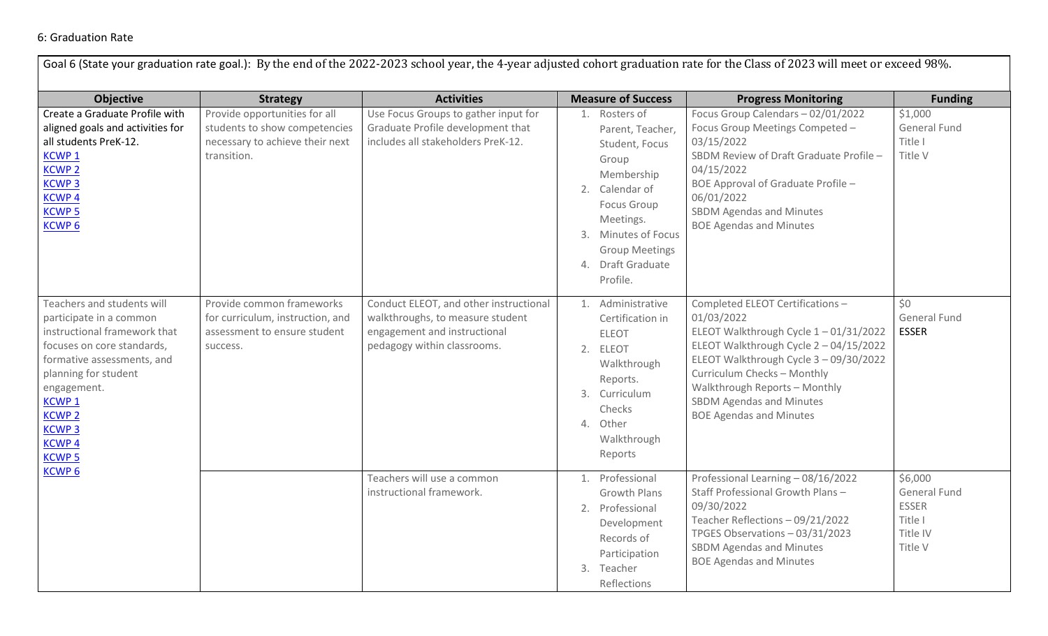#### 6: Graduation Rate

|                                                                                                                                                                                                                                                                                 |                                                                                                                  |                                                                                                                                           |                                                                                                                                                                                                                  | Goal 6 (State your graduation rate goal.): By the end of the 2022-2023 school year, the 4-year adjusted cohort graduation rate for the Class of 2023 will meet or exceed 98%.                                                                                                                                   |                                                                           |
|---------------------------------------------------------------------------------------------------------------------------------------------------------------------------------------------------------------------------------------------------------------------------------|------------------------------------------------------------------------------------------------------------------|-------------------------------------------------------------------------------------------------------------------------------------------|------------------------------------------------------------------------------------------------------------------------------------------------------------------------------------------------------------------|-----------------------------------------------------------------------------------------------------------------------------------------------------------------------------------------------------------------------------------------------------------------------------------------------------------------|---------------------------------------------------------------------------|
| <b>Objective</b>                                                                                                                                                                                                                                                                | <b>Strategy</b>                                                                                                  | <b>Activities</b>                                                                                                                         | <b>Measure of Success</b>                                                                                                                                                                                        | <b>Progress Monitoring</b>                                                                                                                                                                                                                                                                                      | <b>Funding</b>                                                            |
| Create a Graduate Profile with<br>aligned goals and activities for<br>all students PreK-12.<br><b>KCWP1</b><br><b>KCWP 2</b><br><b>KCWP3</b><br><b>KCWP4</b><br><b>KCWP 5</b><br><b>KCWP6</b>                                                                                   | Provide opportunities for all<br>students to show competencies<br>necessary to achieve their next<br>transition. | Use Focus Groups to gather input for<br>Graduate Profile development that<br>includes all stakeholders PreK-12.                           | 1. Rosters of<br>Parent, Teacher,<br>Student, Focus<br>Group<br>Membership<br>2. Calendar of<br><b>Focus Group</b><br>Meetings.<br>3. Minutes of Focus<br><b>Group Meetings</b><br>4. Draft Graduate<br>Profile. | Focus Group Calendars - 02/01/2022<br>Focus Group Meetings Competed -<br>03/15/2022<br>SBDM Review of Draft Graduate Profile -<br>04/15/2022<br>BOE Approval of Graduate Profile -<br>06/01/2022<br>SBDM Agendas and Minutes<br><b>BOE Agendas and Minutes</b>                                                  | \$1,000<br><b>General Fund</b><br>Title I<br>Title V                      |
| Teachers and students will<br>participate in a common<br>instructional framework that<br>focuses on core standards,<br>formative assessments, and<br>planning for student<br>engagement.<br>KCWP <sub>1</sub><br><b>KCWP 2</b><br><b>KCWP3</b><br><b>KCWP4</b><br><b>KCWP 5</b> | Provide common frameworks<br>for curriculum, instruction, and<br>assessment to ensure student<br>success.        | Conduct ELEOT, and other instructional<br>walkthroughs, to measure student<br>engagement and instructional<br>pedagogy within classrooms. | 1. Administrative<br>Certification in<br><b>ELEOT</b><br>2. ELEOT<br>Walkthrough<br>Reports.<br>3. Curriculum<br>Checks<br>4. Other<br>Walkthrough<br>Reports                                                    | Completed ELEOT Certifications -<br>01/03/2022<br>ELEOT Walkthrough Cycle 1-01/31/2022<br>ELEOT Walkthrough Cycle 2 - 04/15/2022<br>ELEOT Walkthrough Cycle 3 - 09/30/2022<br>Curriculum Checks - Monthly<br>Walkthrough Reports - Monthly<br><b>SBDM Agendas and Minutes</b><br><b>BOE Agendas and Minutes</b> | \$0<br>General Fund<br><b>ESSER</b>                                       |
| KCWP <sub>6</sub>                                                                                                                                                                                                                                                               |                                                                                                                  | Teachers will use a common<br>instructional framework.                                                                                    | 1. Professional<br><b>Growth Plans</b><br>2. Professional<br>Development<br>Records of<br>Participation<br>3. Teacher<br>Reflections                                                                             | Professional Learning - 08/16/2022<br>Staff Professional Growth Plans -<br>09/30/2022<br>Teacher Reflections - 09/21/2022<br>TPGES Observations - 03/31/2023<br>SBDM Agendas and Minutes<br><b>BOE Agendas and Minutes</b>                                                                                      | \$6,000<br>General Fund<br><b>ESSER</b><br>Title I<br>Title IV<br>Title V |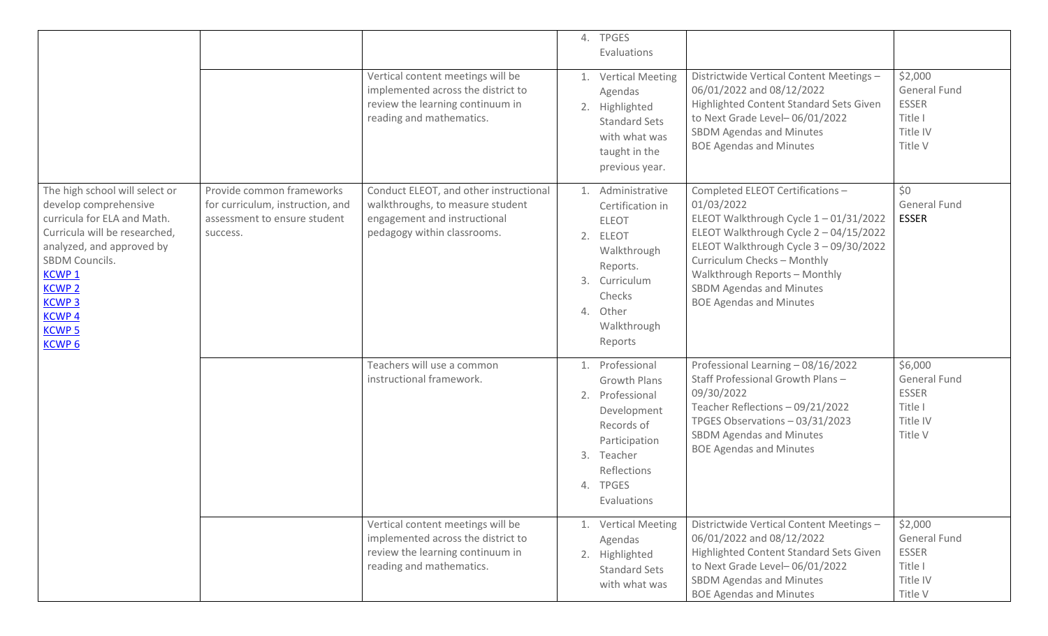|                                                                                                                                                                                                                                                                                   |                                                                                                           |                                                                                                                                           | 4. TPGES                                                                                                    | Evaluations                                                                                     |                                                                                                                                                                                                                                                                                                                |                                                                                  |
|-----------------------------------------------------------------------------------------------------------------------------------------------------------------------------------------------------------------------------------------------------------------------------------|-----------------------------------------------------------------------------------------------------------|-------------------------------------------------------------------------------------------------------------------------------------------|-------------------------------------------------------------------------------------------------------------|-------------------------------------------------------------------------------------------------|----------------------------------------------------------------------------------------------------------------------------------------------------------------------------------------------------------------------------------------------------------------------------------------------------------------|----------------------------------------------------------------------------------|
|                                                                                                                                                                                                                                                                                   |                                                                                                           | Vertical content meetings will be<br>implemented across the district to<br>review the learning continuum in<br>reading and mathematics.   | Agendas<br>2. Highlighted                                                                                   | 1. Vertical Meeting<br><b>Standard Sets</b><br>with what was<br>taught in the<br>previous year. | Districtwide Vertical Content Meetings -<br>06/01/2022 and 08/12/2022<br>Highlighted Content Standard Sets Given<br>to Next Grade Level-06/01/2022<br><b>SBDM Agendas and Minutes</b><br><b>BOE Agendas and Minutes</b>                                                                                        | \$2,000<br>General Fund<br><b>ESSER</b><br>Title I<br>Title IV<br>Title V        |
| The high school will select or<br>develop comprehensive<br>curricula for ELA and Math.<br>Curricula will be researched,<br>analyzed, and approved by<br>SBDM Councils.<br><b>KCWP1</b><br><b>KCWP<sub>2</sub></b><br><b>KCWP3</b><br><b>KCWP4</b><br><b>KCWP5</b><br><b>KCWP6</b> | Provide common frameworks<br>for curriculum, instruction, and<br>assessment to ensure student<br>success. | Conduct ELEOT, and other instructional<br>walkthroughs, to measure student<br>engagement and instructional<br>pedagogy within classrooms. | 1. Administrative<br><b>ELEOT</b><br>2. ELEOT<br>Reports.<br>3. Curriculum<br>Checks<br>4. Other<br>Reports | Certification in<br>Walkthrough<br>Walkthrough                                                  | Completed ELEOT Certifications-<br>01/03/2022<br>ELEOT Walkthrough Cycle 1-01/31/2022<br>ELEOT Walkthrough Cycle 2 - 04/15/2022<br>ELEOT Walkthrough Cycle 3 - 09/30/2022<br>Curriculum Checks - Monthly<br>Walkthrough Reports - Monthly<br><b>SBDM Agendas and Minutes</b><br><b>BOE Agendas and Minutes</b> | \$0<br>General Fund<br><b>ESSER</b>                                              |
|                                                                                                                                                                                                                                                                                   |                                                                                                           | Teachers will use a common<br>instructional framework.                                                                                    | 1. Professional<br>2. Professional<br>Records of<br>3. Teacher<br>Reflections<br>4. TPGES                   | <b>Growth Plans</b><br>Development<br>Participation<br>Evaluations                              | Professional Learning - 08/16/2022<br>Staff Professional Growth Plans -<br>09/30/2022<br>Teacher Reflections - 09/21/2022<br>TPGES Observations - 03/31/2023<br><b>SBDM Agendas and Minutes</b><br><b>BOE Agendas and Minutes</b>                                                                              | \$6,000<br><b>General Fund</b><br><b>ESSER</b><br>Title I<br>Title IV<br>Title V |
|                                                                                                                                                                                                                                                                                   |                                                                                                           | Vertical content meetings will be<br>implemented across the district to<br>review the learning continuum in<br>reading and mathematics.   | Agendas<br>2. Highlighted                                                                                   | 1. Vertical Meeting<br><b>Standard Sets</b><br>with what was                                    | Districtwide Vertical Content Meetings -<br>06/01/2022 and 08/12/2022<br>Highlighted Content Standard Sets Given<br>to Next Grade Level-06/01/2022<br><b>SBDM Agendas and Minutes</b><br><b>BOE Agendas and Minutes</b>                                                                                        | \$2,000<br>General Fund<br><b>ESSER</b><br>Title I<br>Title IV<br>Title V        |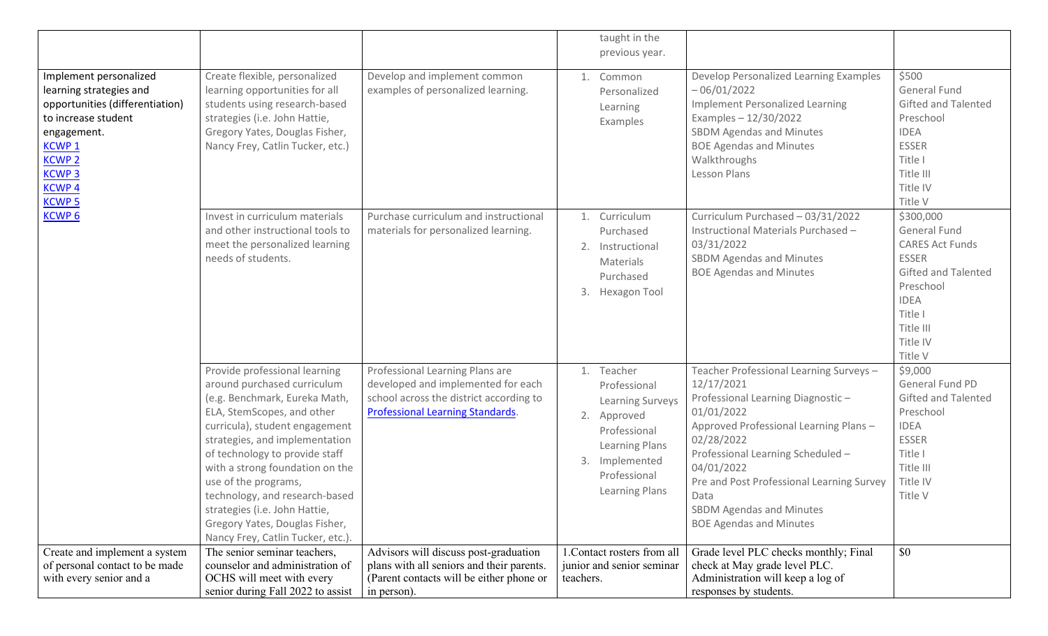|                                                                                                                                                                                                            |                                                                                                                                                                                                                                                                                                                                                                                                                                       |                                                                                                                                                             | taught in the<br>previous year.                                                                                                                            |                                                                                                                                                                                                                                                                                                                                              |                                                                                                                                                                              |
|------------------------------------------------------------------------------------------------------------------------------------------------------------------------------------------------------------|---------------------------------------------------------------------------------------------------------------------------------------------------------------------------------------------------------------------------------------------------------------------------------------------------------------------------------------------------------------------------------------------------------------------------------------|-------------------------------------------------------------------------------------------------------------------------------------------------------------|------------------------------------------------------------------------------------------------------------------------------------------------------------|----------------------------------------------------------------------------------------------------------------------------------------------------------------------------------------------------------------------------------------------------------------------------------------------------------------------------------------------|------------------------------------------------------------------------------------------------------------------------------------------------------------------------------|
| Implement personalized<br>learning strategies and<br>opportunities (differentiation)<br>to increase student<br>engagement.<br><b>KCWP1</b><br><b>KCWP2</b><br><b>KCWP3</b><br><b>KCWP4</b><br><b>KCWP5</b> | Create flexible, personalized<br>learning opportunities for all<br>students using research-based<br>strategies (i.e. John Hattie,<br>Gregory Yates, Douglas Fisher,<br>Nancy Frey, Catlin Tucker, etc.)                                                                                                                                                                                                                               | Develop and implement common<br>examples of personalized learning.                                                                                          | 1. Common<br>Personalized<br>Learning<br>Examples                                                                                                          | Develop Personalized Learning Examples<br>$-06/01/2022$<br><b>Implement Personalized Learning</b><br>Examples $-12/30/2022$<br><b>SBDM Agendas and Minutes</b><br><b>BOE Agendas and Minutes</b><br>Walkthroughs<br>Lesson Plans                                                                                                             | \$500<br>General Fund<br>Gifted and Talented<br>Preschool<br><b>IDEA</b><br><b>ESSER</b><br>Title I<br>Title III<br>Title IV<br>Title V                                      |
| <b>KCWP6</b>                                                                                                                                                                                               | Invest in curriculum materials<br>and other instructional tools to<br>meet the personalized learning<br>needs of students.                                                                                                                                                                                                                                                                                                            | Purchase curriculum and instructional<br>materials for personalized learning.                                                                               | 1. Curriculum<br>Purchased<br>2. Instructional<br>Materials<br>Purchased<br>3. Hexagon Tool                                                                | Curriculum Purchased - 03/31/2022<br>Instructional Materials Purchased -<br>03/31/2022<br><b>SBDM Agendas and Minutes</b><br><b>BOE Agendas and Minutes</b>                                                                                                                                                                                  | \$300,000<br><b>General Fund</b><br><b>CARES Act Funds</b><br><b>ESSER</b><br>Gifted and Talented<br>Preschool<br><b>IDEA</b><br>Title I<br>Title III<br>Title IV<br>Title V |
|                                                                                                                                                                                                            | Provide professional learning<br>around purchased curriculum<br>(e.g. Benchmark, Eureka Math,<br>ELA, StemScopes, and other<br>curricula), student engagement<br>strategies, and implementation<br>of technology to provide staff<br>with a strong foundation on the<br>use of the programs,<br>technology, and research-based<br>strategies (i.e. John Hattie,<br>Gregory Yates, Douglas Fisher,<br>Nancy Frey, Catlin Tucker, etc.) | Professional Learning Plans are<br>developed and implemented for each<br>school across the district according to<br><b>Professional Learning Standards.</b> | 1. Teacher<br>Professional<br><b>Learning Surveys</b><br>2. Approved<br>Professional<br>Learning Plans<br>3. Implemented<br>Professional<br>Learning Plans | Teacher Professional Learning Surveys-<br>12/17/2021<br>Professional Learning Diagnostic-<br>01/01/2022<br>Approved Professional Learning Plans -<br>02/28/2022<br>Professional Learning Scheduled -<br>04/01/2022<br>Pre and Post Professional Learning Survey<br>Data<br><b>SBDM Agendas and Minutes</b><br><b>BOE Agendas and Minutes</b> | \$9,000<br>General Fund PD<br><b>Gifted and Talented</b><br>Preschool<br><b>IDEA</b><br><b>ESSER</b><br>Title I<br>Title III<br>Title IV<br>Title V                          |
| Create and implement a system<br>of personal contact to be made<br>with every senior and a                                                                                                                 | The senior seminar teachers,<br>counselor and administration of<br>OCHS will meet with every<br>senior during Fall 2022 to assist                                                                                                                                                                                                                                                                                                     | Advisors will discuss post-graduation<br>plans with all seniors and their parents.<br>(Parent contacts will be either phone or<br>in person).               | 1. Contact rosters from all<br>junior and senior seminar<br>teachers.                                                                                      | Grade level PLC checks monthly; Final<br>check at May grade level PLC.<br>Administration will keep a log of<br>responses by students.                                                                                                                                                                                                        | \$0                                                                                                                                                                          |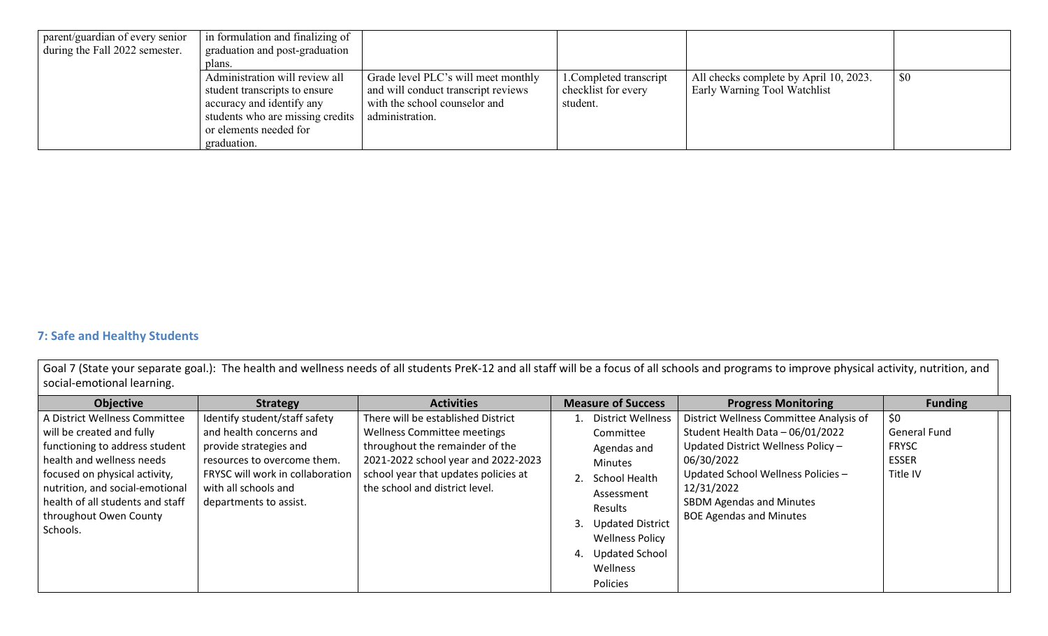| parent/guardian of every senior<br>during the Fall 2022 semester. | in formulation and finalizing of<br>graduation and post-graduation |                                     |                         |                                        |     |
|-------------------------------------------------------------------|--------------------------------------------------------------------|-------------------------------------|-------------------------|----------------------------------------|-----|
|                                                                   | plans.                                                             |                                     |                         |                                        |     |
|                                                                   | Administration will review all                                     | Grade level PLC's will meet monthly | 1. Completed transcript | All checks complete by April 10, 2023. | \$0 |
|                                                                   | student transcripts to ensure                                      | and will conduct transcript reviews | checklist for every     | Early Warning Tool Watchlist           |     |
|                                                                   | accuracy and identify any                                          | with the school counselor and       | student.                |                                        |     |
|                                                                   | students who are missing credits                                   | administration.                     |                         |                                        |     |
|                                                                   | or elements needed for                                             |                                     |                         |                                        |     |
|                                                                   | graduation.                                                        |                                     |                         |                                        |     |

### **7: Safe and Healthy Students**

Goal 7 (State your separate goal.): The health and wellness needs of all students PreK-12 and all staff will be a focus of all schools and programs to improve physical activity, nutrition, and social-emotional learning.

| <b>Objective</b>                   | <b>Strategy</b>                  | <b>Activities</b>                    | <b>Measure of Success</b>     | <b>Progress Monitoring</b>              | <b>Funding</b> |
|------------------------------------|----------------------------------|--------------------------------------|-------------------------------|-----------------------------------------|----------------|
| A District Wellness Committee      | Identify student/staff safety    | There will be established District   | <b>District Wellness</b>      | District Wellness Committee Analysis of | \$0            |
| will be created and fully          | and health concerns and          | Wellness Committee meetings          | Committee                     | Student Health Data - 06/01/2022        | General Fund   |
| functioning to address student     | provide strategies and           | throughout the remainder of the      | Agendas and                   | Updated District Wellness Policy -      | <b>FRYSC</b>   |
| health and wellness needs          | resources to overcome them.      | 2021-2022 school year and 2022-2023  | <b>Minutes</b>                | 06/30/2022                              | <b>ESSER</b>   |
| focused on physical activity,      | FRYSC will work in collaboration | school year that updates policies at | School Health                 | Updated School Wellness Policies -      | Title IV       |
| nutrition, and social-emotional    | with all schools and             | the school and district level.       | Assessment                    | 12/31/2022                              |                |
| health of all students and staff   | departments to assist.           |                                      | Results                       | <b>SBDM Agendas and Minutes</b>         |                |
| throughout Owen County<br>Schools. |                                  |                                      | <b>Updated District</b><br>3. | <b>BOE Agendas and Minutes</b>          |                |
|                                    |                                  |                                      | <b>Wellness Policy</b>        |                                         |                |
|                                    |                                  |                                      | <b>Updated School</b><br>4.   |                                         |                |
|                                    |                                  |                                      | Wellness                      |                                         |                |
|                                    |                                  |                                      | Policies                      |                                         |                |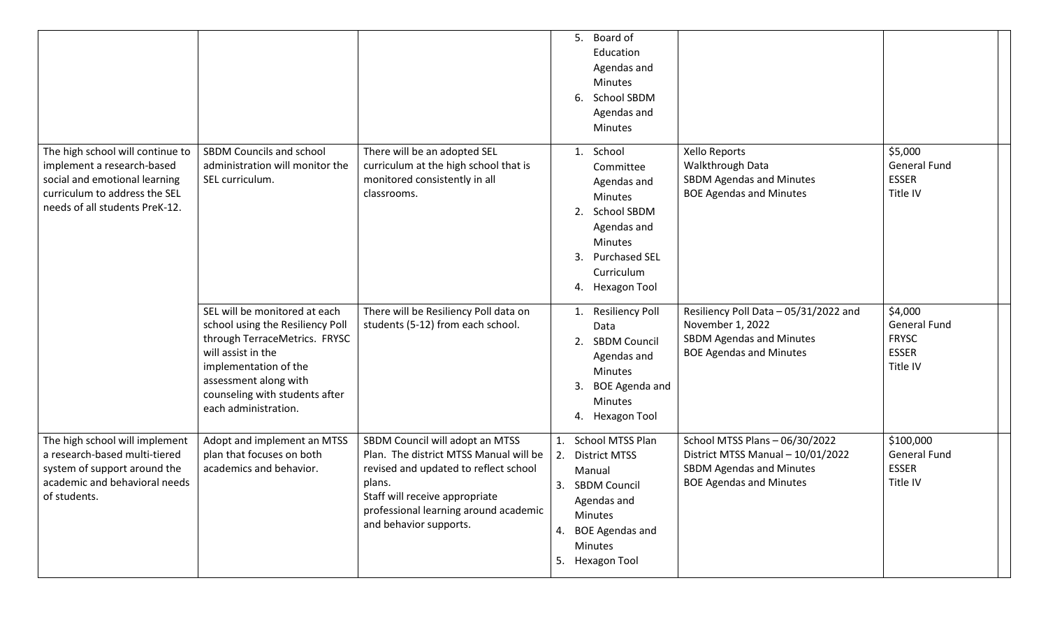|                                                                                                                                                                    |                                                                                                                                                                                                                                      |                                                                                                                                                                                                                                   | 5.<br>Board of<br>Education<br>Agendas and<br><b>Minutes</b><br>School SBDM<br>6<br>Agendas and                                                                                                                                                                                                                                                                                                 |  |
|--------------------------------------------------------------------------------------------------------------------------------------------------------------------|--------------------------------------------------------------------------------------------------------------------------------------------------------------------------------------------------------------------------------------|-----------------------------------------------------------------------------------------------------------------------------------------------------------------------------------------------------------------------------------|-------------------------------------------------------------------------------------------------------------------------------------------------------------------------------------------------------------------------------------------------------------------------------------------------------------------------------------------------------------------------------------------------|--|
| The high school will continue to<br>implement a research-based<br>social and emotional learning<br>curriculum to address the SEL<br>needs of all students PreK-12. | <b>SBDM Councils and school</b><br>administration will monitor the<br>SEL curriculum.                                                                                                                                                | There will be an adopted SEL<br>curriculum at the high school that is<br>monitored consistently in all<br>classrooms.                                                                                                             | <b>Minutes</b><br>\$5,000<br>School<br>Xello Reports<br>1.<br>Walkthrough Data<br><b>General Fund</b><br>Committee<br>SBDM Agendas and Minutes<br><b>ESSER</b><br>Agendas and<br><b>BOE Agendas and Minutes</b><br>Title IV<br>Minutes<br><b>School SBDM</b><br>2.<br>Agendas and<br><b>Minutes</b><br><b>Purchased SEL</b><br>3.<br>Curriculum<br><b>Hexagon Tool</b><br>4.                    |  |
|                                                                                                                                                                    | SEL will be monitored at each<br>school using the Resiliency Poll<br>through TerraceMetrics. FRYSC<br>will assist in the<br>implementation of the<br>assessment along with<br>counseling with students after<br>each administration. | There will be Resiliency Poll data on<br>students (5-12) from each school.                                                                                                                                                        | \$4,000<br><b>Resiliency Poll</b><br>Resiliency Poll Data - 05/31/2022 and<br><b>General Fund</b><br>November 1, 2022<br>Data<br><b>FRYSC</b><br><b>SBDM Agendas and Minutes</b><br><b>SBDM Council</b><br>2.<br><b>ESSER</b><br><b>BOE Agendas and Minutes</b><br>Agendas and<br>Title IV<br><b>Minutes</b><br>3.<br><b>BOE Agenda and</b><br><b>Minutes</b><br>Hexagon Tool<br>4.             |  |
| The high school will implement<br>a research-based multi-tiered<br>system of support around the<br>academic and behavioral needs<br>of students.                   | Adopt and implement an MTSS<br>plan that focuses on both<br>academics and behavior.                                                                                                                                                  | SBDM Council will adopt an MTSS<br>Plan. The district MTSS Manual will be<br>revised and updated to reflect school<br>plans.<br>Staff will receive appropriate<br>professional learning around academic<br>and behavior supports. | \$100,000<br>School MTSS Plan<br>School MTSS Plans - 06/30/2022<br>1.<br>District MTSS Manual - 10/01/2022<br><b>General Fund</b><br><b>District MTSS</b><br>2.<br><b>ESSER</b><br><b>SBDM Agendas and Minutes</b><br>Manual<br>Title IV<br><b>BOE Agendas and Minutes</b><br><b>SBDM Council</b><br>3.<br>Agendas and<br>Minutes<br><b>BOE Agendas and</b><br>4.<br>Minutes<br>5. Hexagon Tool |  |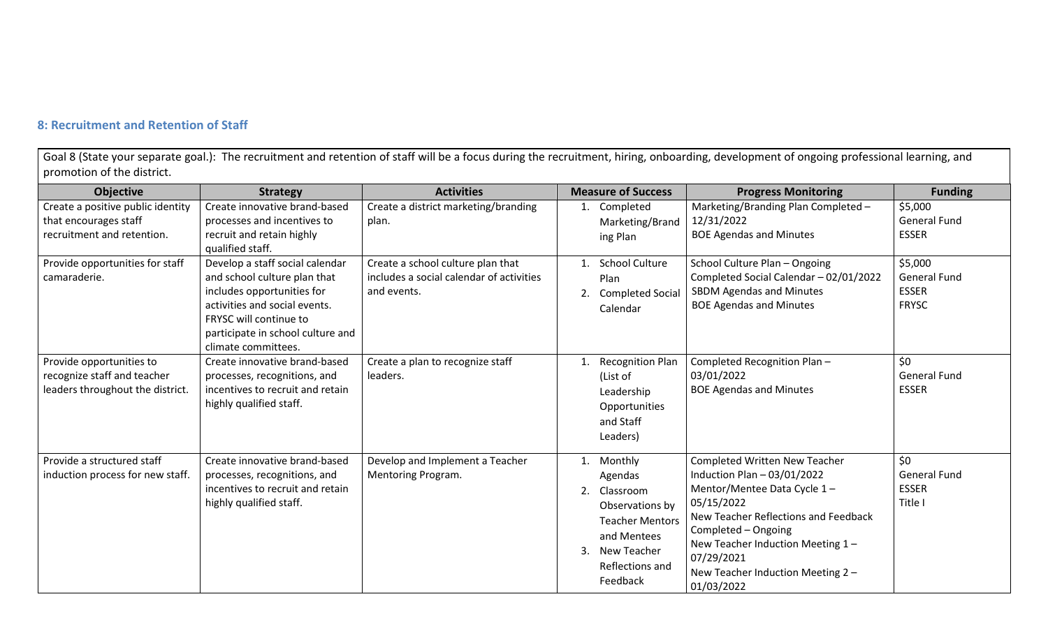### **8: Recruitment and Retention of Staff**

Goal 8 (State your separate goal.): The recruitment and retention of staff will be a focus during the recruitment, hiring, onboarding, development of ongoing professional learning, and promotion of the district.

| <b>Objective</b>                                                                            | <b>Strategy</b>                                                                                                                                                                                                      | <b>Activities</b>                                                                            | <b>Measure of Success</b>                                                                                                                                   | <b>Progress Monitoring</b>                                                                                                                                                                                                                                                             | <b>Funding</b>                                                 |
|---------------------------------------------------------------------------------------------|----------------------------------------------------------------------------------------------------------------------------------------------------------------------------------------------------------------------|----------------------------------------------------------------------------------------------|-------------------------------------------------------------------------------------------------------------------------------------------------------------|----------------------------------------------------------------------------------------------------------------------------------------------------------------------------------------------------------------------------------------------------------------------------------------|----------------------------------------------------------------|
| Create a positive public identity<br>that encourages staff<br>recruitment and retention.    | Create innovative brand-based<br>processes and incentives to<br>recruit and retain highly<br>qualified staff.                                                                                                        | Create a district marketing/branding<br>plan.                                                | Completed<br>Marketing/Brand<br>ing Plan                                                                                                                    | Marketing/Branding Plan Completed -<br>12/31/2022<br><b>BOE Agendas and Minutes</b>                                                                                                                                                                                                    | \$5,000<br><b>General Fund</b><br><b>ESSER</b>                 |
| Provide opportunities for staff<br>camaraderie.                                             | Develop a staff social calendar<br>and school culture plan that<br>includes opportunities for<br>activities and social events.<br>FRYSC will continue to<br>participate in school culture and<br>climate committees. | Create a school culture plan that<br>includes a social calendar of activities<br>and events. | <b>School Culture</b><br>Plan<br><b>Completed Social</b><br>2.<br>Calendar                                                                                  | School Culture Plan - Ongoing<br>Completed Social Calendar - 02/01/2022<br>SBDM Agendas and Minutes<br><b>BOE Agendas and Minutes</b>                                                                                                                                                  | \$5,000<br><b>General Fund</b><br><b>ESSER</b><br><b>FRYSC</b> |
| Provide opportunities to<br>recognize staff and teacher<br>leaders throughout the district. | Create innovative brand-based<br>processes, recognitions, and<br>incentives to recruit and retain<br>highly qualified staff.                                                                                         | Create a plan to recognize staff<br>leaders.                                                 | <b>Recognition Plan</b><br>(List of<br>Leadership<br>Opportunities<br>and Staff<br>Leaders)                                                                 | Completed Recognition Plan-<br>03/01/2022<br><b>BOE Agendas and Minutes</b>                                                                                                                                                                                                            | \$0<br><b>General Fund</b><br><b>ESSER</b>                     |
| Provide a structured staff<br>induction process for new staff.                              | Create innovative brand-based<br>processes, recognitions, and<br>incentives to recruit and retain<br>highly qualified staff.                                                                                         | Develop and Implement a Teacher<br>Mentoring Program.                                        | Monthly<br>1.<br>Agendas<br>2.<br>Classroom<br>Observations by<br><b>Teacher Mentors</b><br>and Mentees<br>New Teacher<br>3.<br>Reflections and<br>Feedback | <b>Completed Written New Teacher</b><br>Induction Plan $-03/01/2022$<br>Mentor/Mentee Data Cycle 1-<br>05/15/2022<br>New Teacher Reflections and Feedback<br>Completed - Ongoing<br>New Teacher Induction Meeting 1 -<br>07/29/2021<br>New Teacher Induction Meeting 2 -<br>01/03/2022 | \$0<br><b>General Fund</b><br><b>ESSER</b><br>Title I          |